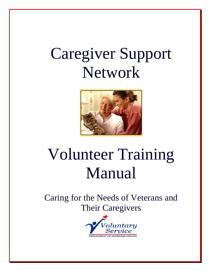## Caregiver Support Network



# Volunteer Training Manual

Caring for the Needs of Veterans and Their Caregivers

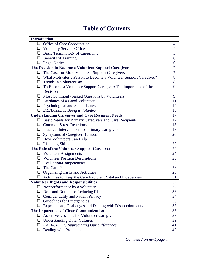## **Table of Contents**

| <b>Introduction</b> |                                                                         |                |  |
|---------------------|-------------------------------------------------------------------------|----------------|--|
|                     | $\Box$ Office of Care Coordination                                      | $\overline{4}$ |  |
|                     | $\Box$ Voluntary Service Office                                         | 4              |  |
|                     | $\Box$ Basic Terminology of Caregiving                                  | 5              |  |
|                     | $\Box$ Benefits of Training                                             | 6              |  |
|                     | $\Box$ Legal Notice                                                     | 6              |  |
|                     | The Decision to Become a Volunteer Support Caregiver                    | $\overline{7}$ |  |
|                     | $\Box$ The Case for More Volunteer Support Caregivers                   | 7              |  |
|                     | $\Box$ What Motivates a Person to Become a Volunteer Support Caregiver? | 8              |  |
|                     | $\Box$ Trends in Volunteerism                                           | 8              |  |
|                     | $\Box$ To Become a Volunteer Support Caregiver: The Importance of the   | 9              |  |
|                     | Decision                                                                |                |  |
|                     | $\Box$ Most Commonly Asked Questions by Volunteers                      | 9              |  |
|                     | $\Box$ Attributes of a Good Volunteer                                   | 11             |  |
|                     | $\Box$ Psychological and Social Issues                                  | 12             |  |
|                     | $\Box$ EXERCISE 1: Being a Volunteer                                    | 15             |  |
|                     | <b>Understanding Caregiver and Care Recipient Needs</b>                 | 17             |  |
|                     | $\Box$ Basic Needs for Primary Caregivers and Care Recipients           | 17             |  |
|                     | $\Box$ Common Stress Reactions                                          | 18             |  |
|                     | $\Box$ Practical Interventions for Primary Caregivers                   | 18             |  |
|                     | $\Box$ Symptoms of Caregiver Burnout                                    | 20             |  |
|                     | $\Box$ How Volunteers Can Help                                          | 22             |  |
|                     | $\Box$ Listening Skills                                                 | 22             |  |
|                     | The Role of the Volunteer Support Caregiver                             |                |  |
|                     | $\Box$ Volunteer Assignments                                            | 24             |  |
|                     | $\Box$ Volunteer Position Descriptions                                  | 25             |  |
|                     | $\Box$ Evaluation/Competencies                                          | 26             |  |
|                     | $\Box$ The Care Plan                                                    | 28             |  |
|                     | <b>Q</b> Organizing Tasks and Activities                                | 28             |  |
|                     | $\Box$ Activities to Keep the Care Recipient Vital and Independent      | 31             |  |
|                     | <b>Volunteer Rights and Responsibilities</b>                            | 32             |  |
|                     | $\Box$ Nonperformance by a volunteer                                    | 32             |  |
|                     | Do's and Don'ts for Reducing Risks                                      | 33             |  |
|                     | $\Box$ Confidentiality and Patient Privacy                              | 34             |  |
|                     | $\Box$ Guidelines for Emergencies                                       | 36             |  |
|                     | $\Box$ Expectations, Challenges and Dealing with Disappointments        | 37             |  |
|                     | The Importance of Clear Communication                                   |                |  |
|                     | $\Box$ Assertiveness Tips for Volunteer Caregivers                      | 38             |  |
| ⊔                   | <b>Understanding Other Cultures</b>                                     | 39             |  |
|                     | $\Box$ EXERCISE 2: Appreciating Our Differences                         | 41             |  |
|                     | $\Box$ Dealing with Problems                                            | 42             |  |
|                     |                                                                         |                |  |
|                     | Continued on next page                                                  |                |  |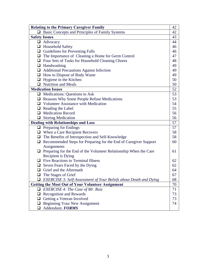| <b>Relating to the Primary Caregiver Family</b> |                                                                          |    |  |
|-------------------------------------------------|--------------------------------------------------------------------------|----|--|
|                                                 | $\Box$ Basic Concepts and Principles of Family Systems                   | 42 |  |
|                                                 | <b>Safety Issues</b>                                                     | 43 |  |
|                                                 | $\Box$ Advocacy                                                          | 44 |  |
|                                                 | $\Box$ Household Safety                                                  | 46 |  |
|                                                 | $\Box$ Guidelines for Preventing Falls                                   | 46 |  |
|                                                 | $\Box$ The Importance of Cleaning a Home for Germ Control                | 47 |  |
|                                                 | $\Box$ Four Sets of Tasks for Household Cleaning Chores                  | 48 |  |
|                                                 | $\Box$ Handwashing                                                       | 49 |  |
|                                                 | Additional Precautions Against Infection                                 | 49 |  |
|                                                 | $\Box$ How to Dispose of Body Waste                                      | 49 |  |
|                                                 | $\Box$ Hygiene in the Kitchen                                            | 50 |  |
|                                                 | $\Box$ Nutrition and Meals                                               | 50 |  |
|                                                 | <b>Medication Issues</b>                                                 | 52 |  |
|                                                 | $\Box$ Medications: Questions to Ask                                     | 53 |  |
|                                                 | $\Box$ Reasons Why Some People Refuse Medications                        | 53 |  |
|                                                 | $\Box$ Volunteer Assistance with Medication                              | 54 |  |
|                                                 | $\Box$ Reading the Label                                                 | 55 |  |
|                                                 | $\Box$ Medication Record                                                 | 56 |  |
|                                                 | $\Box$ Storing Medication                                                | 56 |  |
| <b>Dealing with Relationships and Loss</b>      |                                                                          |    |  |
|                                                 | $\Box$ Preparing for Endings                                             | 57 |  |
|                                                 | $\Box$ When a Care Recipient Recovers                                    | 58 |  |
|                                                 | $\Box$ The Benefits of Introspection and Self-Knowledge                  | 58 |  |
|                                                 | $\Box$ Recommended Steps for Preparing for the End of Caregiver Support  | 60 |  |
|                                                 | Assignments                                                              |    |  |
|                                                 | $\Box$ Preparing for the End of the Volunteer Relationship When the Care | 61 |  |
|                                                 | Recipient is Dying                                                       |    |  |
|                                                 | $\Box$ Five Reactions to Terminal Illness                                | 62 |  |
|                                                 | $\Box$ Seven Fears Faced by the Dying                                    | 62 |  |
|                                                 | $\Box$ Grief and the Aftermath                                           | 64 |  |
|                                                 | The Stages of Grief                                                      | 67 |  |
|                                                 | <b>EXERCISE 3: Self-Assessment of Your Beliefs about Death and Dying</b> | 68 |  |
|                                                 | <b>Getting the Most Out of Your Volunteer Assignment</b>                 |    |  |
|                                                 | <b>EXERCISE 4: The Case of Mr. Ruiz</b>                                  | 71 |  |
|                                                 | $\Box$ Recognition and Rewards                                           | 73 |  |
|                                                 | Getting a Veteran Involved                                               | 73 |  |
|                                                 | <b>Beginning Your New Assignment</b>                                     | 74 |  |
|                                                 | Addendum: FORMS                                                          |    |  |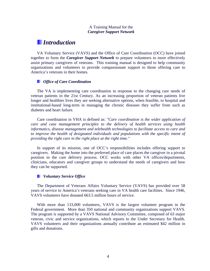#### A Training Manual for the *Caregiver Support Network*

## *Introduction*

VA Voluntary Service (VAVS) and the Office of Care Coordination (OCC) have joined together to form the *Caregiver Support Network* to prepare volunteers to more effectively assist primary caregivers of veterans. This training manual is designed to help community organizations and volunteers to provide compassionate support to those offering care to America's veterans in their homes.

#### *Office of Care Coordination*

The VA is implementing care coordination in response to the changing care needs of veteran patients in the 21st Century. As an increasing proportion of veteran patients live longer and healthier lives they are seeking alternative options, when feasible, to hospital and institutional-based long-term in managing the chronic diseases they suffer from such as diabetes and heart failure.

Care coordination in VHA is defined as: *"Care coordination is the wider application of care and case management principles to the delivery of health services using health informatics, disease management and telehealth technologies to facilitate access to care and*  to improve the health of designated individuals and populations with the specific intent of *providing the right care in the right place at the right time."*

In support of its mission, one of OCC's responsibilities includes offering support to caregivers. Making the home into the preferred place of care places the caregiver in a pivotal position in the care delivery process. OCC works with other VA offices/departments, clinicians, educators and caregiver groups to understand the needs of caregivers and how they can be supported.

#### *Voluntary Service Office*

The Department of Veterans Affairs Voluntary Service (VAVS) has provided over 58 years of service to America's veterans seeking care in VA health care facilities. Since 1946, VAVS volunteers have donated 663.5 million hours of service.

With more than 133,000 volunteers, VAVS is the largest volunteer program in the Federal government. More than 350 national and community organizations support VAVS. The program is supported by a VAVS National Advisory Committee, composed of 63 major veteran, civic and service organizations, which reports to the Under Secretary for Health. VAVS volunteers and their organizations annually contribute an estimated \$42 million in gifts and donations.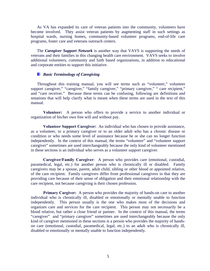As VA has expanded its care of veteran patients into the community, volunteers have become involved. They assist veteran patients by augmenting staff in such settings as hospital wards, nursing homes, community-based volunteer programs, end-of-life care programs, foster care and veterans outreach centers.

The *Caregiver Support Network* is another way that VAVS is supporting the needs of veterans and their families in this changing health care environment. VAVS seeks to involve additional volunteers, community and faith based organizations, in addition to educational and corporate entities to support this initiative.

#### *Basic Terminology of Caregiving*

Throughout this training manual, you will see terms such as "volunteer," volunteer support caregiver," "caregiver," "family caregiver," "primary caregiver," " care recipient," and "care receiver." Because these terms can be confusing, following are definitions and notations that will help clarify what is meant when these terms are used in the text of this manual.

**Volunteer:** A person who offers to provide a service to another individual or organization of his/her own free will and without pay.

**Volunteer Support Caregiver:** An individual who has chosen to provide assistance, as a volunteer, to a primary caregiver or to an older adult who has a chronic disease or condition or who needs some level of assistance because he or she can no longer function independently. In the context of this manual, the terms "volunteer" and "volunteer support caregiver" sometimes are used interchangeably because the only kind of volunteer mentioned in these sections is an individual who serves as a volunteer support caregiver.

**Caregiver/Family Caregiver**: A person who provides care (emotional, custodial, paramedical, legal, etc.) for another person who is chronically ill or disabled. Family caregivers may be a spouse, parent, adult child, sibling or other blood or appointed relative, of the care recipient. Family caregivers differ from professional caregivers in that they are providing care because of their sense of obligation and their emotional relationship with the care recipient, not because caregiving is their chosen profession.

**Primary Cargiver:** A person who provides the majority of hands-on care to another individual who is chronically ill, disabled or emotionally or mentally unable to function independently. This person usually is the one who makes most of the decisions and organizes care and services for the care recipient. This person may not necessarily be a blood relative, but rather a close friend or partner. In the context of this manual, the terms "caregiver" and "primary caregiver" sometimes are used interchangeably because the only kind of caregiver mentioned in these sections is a person who provides the majority of handson care (emotional, custodial, paramedical, legal, etc.) to an adult who is chronically ill, disabled or emotionally or mentally unable to function independently.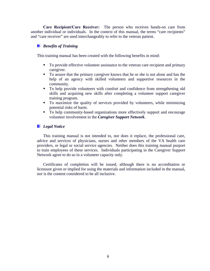**Care Recipient/Care Receiver:** The person who receives hands-on care from another individual or individuals. In the context of this manual, the terms "care recipients" and "care receiver" are used interchangeably to refer to the veteran patient.

#### **Benefits of Training**

This training manual has been created with the following benefits in mind:

- To provide effective volunteer assistance to the veteran care recipient and primary caregiver.
- To assure that the primary caregiver knows that he or she is not alone and has the help of an agency with skilled volunteers and supportive resources in the community.
- To help provide volunteers with comfort and confidence from strengthening old skills and acquiring new skills after completing a volunteer support caregiver training program.
- To maximize the quality of services provided by volunteers, while minimizing potential risks of harm.
- To help community-based organizations more effectively support and encourage volunteer involvement in the *Caregiver Support Network*.

#### *Legal Notice*

This training manual is not intended to, nor does it replace, the professional care, advice and services of physicians, nurses and other members of the VA health care providers, or legal or social service agencies. Neither does this training manual purport to train employees of these services. Individuals participating in the Caregiver Support Network agree to do so in a volunteer capacity only.

Certificates of completion will be issued, although there is no accreditation or licensure given or implied for using the materials and information included in the manual, nor is the content considered to be all inclusive.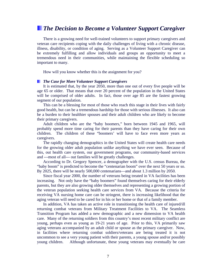### *The Decision to Become a Volunteer Support Caregiver*

There is a growing need for well-trained volunteers to support primary caregivers and veteran care recipients coping with the daily challenges of living with a chronic disease, illness, disability, or condition of aging. Serving as a Volunteer Support Caregiver can be extremely fulfilling and allow individuals and groups an opportunity to meet a tremendous need in their communities, while maintaining the flexible scheduling so important to many.

How will you know whether this is the assignment for you?

#### *The Case for More Volunteer Support Caregivers*

It is estimated that, by the year 2050, more than one out of every five people will be age 65 or older. That means that over 20 percent of the population in the United States will be comprised of older adults. In fact, those over age 85 are the fastest growing segment of our population.

This can be a blessing for most of those who reach this stage in their lives with fairly good health, but can be a tremendous hardship for those with serious illnesses. It also can be a burden to their healthier spouses and their adult children who are likely to become their primary caregivers.

Adult children who are the "baby boomers," born between 1945 and 1965, will probably spend more time caring for their parents than they have caring for their own children. The children of these "boomers' will have to face even more years as caregivers.

The rapidly changing demographics in the United States will create health care needs for the growing older adult population unlike anything we have ever seen. Because of this, out health care system, our government programs, our community-based services and ---most of all--- out families will be greatly challenges.

According to Dr. Gregory Spencer, a demographer with the U.S. census Bureau, the "baby boom" is predicted to become the "centenarian boom" over the next 50 years or so. By 2025, there will be nearly 500,000 centenarians—and about 1.3 million by 2050.

Since fiscal year 2000, the number of veterans being treated in VA facilities has been increasing. Not only have the "baby boomers" found themselves caring for their elderly parents, but they are also growing older themselves and representing a growing portion of the veteran population seeking health care services from VA. Because the criteria for receiving VA nursing home care can be stringent, there is increasing likelihood that the aging veteran will need to be cared for in his or her home or that of a family member.

In addition, VA has taken an active role in transitioning the health care of injured/ill returning combat veterans from Military Treatment Facilities to VA. The Seamless Transition Program has added a new demographic and a new dimension to VA health care. Many of the returning soldiers from this country's most recent military conflict are young, perhaps even as young as 19-21 years of age. Prior to this, VA primarily saw aging veterans accompanied by an adult child or spouse as the primary caregiver. Now, in facilities where returning combat soldiers/veterans are being treated it is not uncommon to see a very young patient with their parents, a young spouse and/or possibly young children. Although unfortunate, these young veterans may eventually be care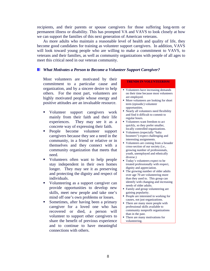recipients, and their parents or spouse caregivers for those suffering long-term or permanent illness or disability. This has prompted VA and VAVS to look closely at how we can support the families of this next generation of American veterans.

As more adults who maintain a reasonable level of health and quality of life, they become good candidates for training as volunteer support caregivers. In addition, VAVS will look toward young people who are willing to make a commitment to VAVS, to veterans and their families, as well as community organizations with people of all ages to meet this critical need in our veteran community.

#### *What Motivates a Person to Become a Volunteer Support Caregiver?*

Most volunteers are motivated by their commitment to a particular cause and organization, and by a sincere desire to help others. For the most part, volunteers are highly motivated people whose energy and positive attitudes are an invaluable resource.

- **v** Volunteer support caregivers work mainly from their faith and their life experiences. They may see it as a concrete way of expressing their faith.
- People become volunteer support caregivers because they see a need in the community, in a friend or relative or in themselves and they connect with a community organization that meets that need.
- Volunteers often want to help people stay independent in their own homes longer. They may see it as preserving and protecting the dignity and respect of individuals.
- Volunteering as a support caregiver can provide opportunities to develop new skills, meet new people and take one's mind off one's own problems or losses.
- **Sometimes, after having been a primary** caregiver for a loved one who has recovered or died, a person will volunteer to support other caregivers to share the benefit of previous experience and to continue to have meaningful connections with others.

#### **TRENDS IN VOLUNTEERISM**

- Volunteers have increasing demands on their time because most volunteers are employed.
- More volunteers are looking for short term (episodic) volunteer opportunities.
- Nearly all volunteers need flexibility and find it difficult to commit to regular hours.
- Volunteers want freedom to act quickly, so they prefer smaller, locally controlled organizations.
- Volunteers (especially "baby boomers") expect challenging and interesting assignments.
- Volunteers are coming from a broader cross-section of our society (i.e., growing number of professionals, youth, unemployed and ethnically diverse.)
- Today's volunteers expect to be treated professionally with respect, dignity and appreciation.
- The growing number of older adults over age 70 are volunteering more than they used to. This group can identify with changing and increasing needs of older adults.
- **Family and group volunteering are** gaining popularity.
- People are interested in working for causes, not just organizations.
- There are many more people with professional skills available to community nonprofit organizations than in the past.
- There are many motivations for volunteering.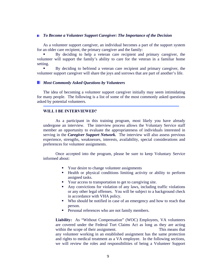#### *To Become a Volunteer Support Caregiver: The Importance of the Decision*

 As a volunteer support caregiver, an individual becomes a part of the support system for an older care recipient, the primary caregiver and the family:

 By deciding to help a veteran care recipient and primary caregiver, the volunteer will support the family's ability to care for the veteran in a familiar home setting.

 By deciding to befriend a veteran care recipient and primary caregiver, the volunteer support caregiver will share the joys and sorrows that are part of another's life.

#### *Most Commonly Asked Questions by Volunteers*

The idea of becoming a volunteer support caregiver initially may seem intimidating for many people. The following is a list of some of the most commonly asked questions asked by potential volunteers.

#### **WILL I BE INTERVIEWED?**

 As a participant in this training program, most likely you have already undergone an interview. The interview process allows the Voluntary Service staff member an opportunity to evaluate the appropriateness of individuals interested in serving in the *Caregiver Support Network.* The interview will also assess previous experience, strengths, weaknesses, interests, availability, special considerations and preferences for volunteer assignments.

 Once accepted into the program, please be sure to keep Voluntary Service informed about:

- Your desire to change volunteer assignments
- Health or physical conditions limiting activity or ability to perform assigned tasks.
- Your access to transportation to get to caregiving site.
- Any convictions for violation of any laws, including traffic violations or any other legal offenses. You will be subject to a background check in accordance with VHA policy.
- Who should be notified in case of an emergency and how to reach that person.
- **Personal references who are not family members.**

**Liability:** As "Without Compensation" (WOC) Employees, VA volunteers are covered under the Federal Tort Claims Act as long as they are acting within the scope of their assignment. This means that any volunteer working in an established assignment has the same protection and rights to medical treatment as a VA employee. In the following sections, we will review the roles and responsibilities of being a Volunteer Support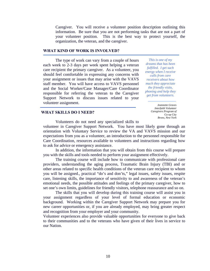Caregiver. You will receive a volunteer position description outlining this information. Be sure that you are not performing tasks that are not a part of your volunteer position. This is the best way to protect yourself, the organization, the veteran, and the caregiver.

#### **WHAT KIND OF WORK IS INVOLVED?**

 The type of work can vary from a couple of hours each week to 2-3 days per week spent helping a veteran care recipient the primary caregiver. As a volunteer, you should feel comfortable in expressing any concerns with your assignment or issues that may arise with the VAVS staff member. You will have access to VAVS personnel and the Social Worker/Case Manager/Care Coordinator responsible for referring the veteran to the Caregiver Support Network to discuss issues related to your volunteer assignment.

*This is one of my dreams that has been fulfilled. I get such energy when I receive calls from care receivers about how much they appreciate the friendly visits, phoning and help they get from volunteers.* 

> *Jeannette Graves Interfaith Volunteer Caregivers Program of Co-op City Bronx, New York*

#### **WHAT SKILLS DO I NEED?**

Volunteers do not need any specialized skills to volunteer in Caregiver Support Network. You have most likely gone through an orientation with Voluntary Service to review the VA and VAVS mission and our expectations from you as a volunteer, an introduction to the personnel responsible for Care Coordination, resources available to volunteers and instructions regarding how to ask for advice or emergency assistance.

 In addition, the information that you will obtain from this course will prepare you with the skills and tools needed to perform your assignment effectively.

 The training course will include how to communicate with professional care providers, understanding the aging process, Traumatic Brain Injury (TBI) and or other areas related to specific health conditions of the veteran care recipient to whom you will be assigned., practical "do's and don'ts," legal issues, safety issues, respite care, listening skills, the importance of sensitivity to and awareness of the veteran's emotional needs, the possible attitudes and feelings of the primary caregiver, how to set one's own limits, guidelines for friendly visitors, telephone reassurance and so on.

 The skills that you will develop during this training course will assist you in your assignment regardless of your level of formal education or economic background. Working within the Caregiver Support Network may prepare you for new career opportunities or, if you are already employed, may bring greater respect and recognition from your employer and your community.

Volunteer experiences also provide valuable opportunities for everyone to give back to their communities and to the veterans who have given of their lives in service to our Nation.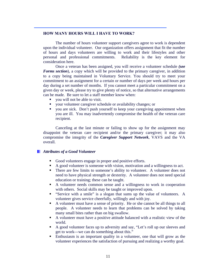#### **HOW MANY HOURS WILL I HAVE TO WORK?**

The number of hours volunteer support caregivers agree to work is dependent upon the individual volunteer. Our organization offers assignment that fit the number of hours and days volunteers are willing to work and their lifestyles and other personal and professional commitments. Reliability is the key element for consideration here.

 Once a veteran has been assigned, you will receive a volunteer schedule *(see Forms section*), a copy which will be provided to the primary caregiver, in addition to a copy being maintained in Voluntary Service. You should try to meet your commitment to an assignment for a certain or number of days per week and hours per day during a set number of months. If you cannot meet a particular commitment on a given day or week, please try to give plenty of notice, so that alternative arrangements can be made. Be sure to let a staff member know when:

- you will not be able to visit.
- your volunteer caregiver schedule or availability changes; or
- you are sick. Don't push yourself to keep your caregiving appointment when you are ill. You may inadvertently compromise the health of the veteran care recipient.

 Canceling at the last minute or failing to show up for the assignment may disappoint the veteran care recipient and/or the primary caregiver; it may also compromise the integrity of the *Caregiver Support Network*, VAVS and the VA overall.

#### *Attributes of a Good Volunteer*

- Good volunteers engage in proper and positive efforts.
- A good volunteer is someone with vision, motivation and a willingness to act.
- There are few limits to someone's ability to volunteer. A volunteer does not need to have physical strength or dexterity. A volunteer does not need special education or training; these can be taught.
- A volunteer needs common sense and a willingness to work in cooperation with others. Social skills may be taught or improved upon.
- "Service with a smile" is a slogan that sums up the value of volunteers. A volunteer gives service cheerfully, willingly and with joy.
- A volunteer must have a sense of priority. He or she cannot be all things to all people. A volunteer needs to learn that problems can be solved by taking many small bites rather than on big swallow.
- A volunteer must have a positive attitude balanced with a realistic view of the world.
- A good volunteer faces up to adversity and say, "Let's roll up our sleeves and get to work---we can do something about this."
- Enthusiasm is an important quality in a volunteer, one that will grow as the volunteer experiences the satisfaction of pursuing and realizing a worthy goal.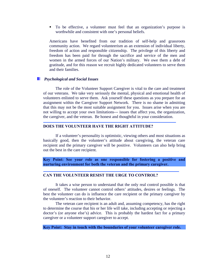To be effective, a volunteer must feel that an organization's purpose is worthwhile and consistent with one's personal beliefs.

Americans have benefited from our tradition of self-help and grassroots community action. We regard volunteerism as an extension of individual liberty, freedom of action and responsible citizenship. The privilege of this liberty and freedom has been paid for through the sacrifice and service of the men and women in the armed forces of our Nation's military. We owe them a debt of gratitude, and for this reason we recruit highly dedicated volunteers to serve them and their families.

#### *Psychological and Social Issues*

֚֚֡֕

The role of the Volunteer Support Caregiver is vital to the care and treatment of our veterans. We take very seriously the mental, physical and emotional health of volunteers enlisted to serve them. Ask yourself these questions as you prepare for an assignment within the Caregiver Support Network. There is no shame in admitting that this may not be the most suitable assignment for you. Issues arise when you are not willing to accept your own limitations--- issues that affect you, the organization, the caregiver, and the veteran. Be honest and thoughtful in your consideration.

#### **DOES THE VOLUNTEER HAVE THE RIGHT ATTITUDE?**

 If a volunteer's personality is optimistic, viewing others and most situations as basically good, then the volunteer's attitude about caregiving, the veteran care recipient and the primary caregiver will be positive. Volunteers can also help bring out the best in the care recipient.

**Key Point: See your role as one responsible for fostering a positive and nurturing environment for both the veteran and the primary caregiver.** 

#### **CAN THE VOLUNTEER RESIST THE URGE TO CONTROL?**

It takes a wise person to understand that the only real control possible is that of oneself. The volunteer cannot control others' attitudes, desires or feelings. The best the volunteer can do is influence the care recipient or the primary caregiver by the volunteer's reaction to their behavior.

The veteran care recipient is an adult and, assuming competency, has the right to determine the course that his or her life will take, including accepting or rejecting a doctor's (or anyone else's) advice. This is probably the hardest fact for a primary caregiver or a volunteer support caregiver to accept.

**Key Point: Stay in touch with the boundaries of your volunteer caregiver role.**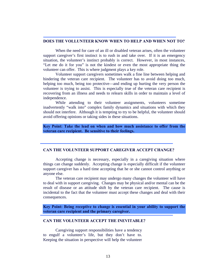#### **DOES THE VOLLUNTEER KNOW WHEN TO HELP AND WHEN NOT TO?**

When the need for care of an ill or disabled veteran arises, often the volunteer support caregiver's first instinct is to rush in and take over. If it is an emergency situation, the volunteer's instinct probably is correct. However, in most instances, "Let me do it for you" is not the kindest or even the most appropriate thing the volunteer can offer. This is where judgment plays a key role.

 Volunteer support caregivers sometimes walk a fine line between helping and hindering the veteran care recipient. The volunteer has to avoid doing too much, helping too much, being too protective—and ending up hurting the very person the volunteer is trying to assist. This is especially true of the veteran care recipient is recovering from an illness and needs to relearn skills in order to maintain a level of independence.

While attending to their volunteer assignments, volunteers sometime inadvertently "walk into" complex family dynamics and situations with which they should not interfere. Although it is tempting to try to be helpful, the volunteer should avoid offering opinions or taking sides in these situations.

**Key Point: Take the lead on when and how much assistance to offer from the veteran care recipient. Be sensitive to their feelings.** 

#### **CAN THE VOLUNTEER SUPPORT CAREGIVER ACCEPT CHANGE?**

 Accepting change is necessary, especially in a caregiving situation where things can change suddenly. Accepting change is especially difficult if the volunteer support caregiver has a hard time accepting that he or she cannot control anything or anyone else.

 The veteran care recipient may undergo many changes the volunteer will have to deal with in support caregiving. Changes may be physical and/or mental can be the result of disease or an attitude shift by the veteran care recipient. The cause is incidental to the fact that the volunteer must accept these changes and deal with their consequences.

**Key Point: Being receptive to change is essential in your ability to support the veteran care recipient and the primary caregiver.** 

#### **CAN THE VOLUNTEER ACCEPT THE INEVITABLE?**

Caregiving support responsibilities have a tendency to engulf a volunteer's life, but they don't have to. Keeping the situation in perspective will help the volunteer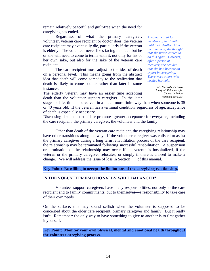remain relatively peaceful and guilt-free when the need for caregiving has ended.

 Regardless of what the primary caregiver, volunteer, veteran care recipient or doctor does, the veteran care recipient may eventually die, particularly if the veteran is elderly. The volunteer never likes facing this fact, but he or she will need to come to terms with it, not only for his or her own sake, but also for the sake of the veteran care recipient.

The care recipient must adjust to the idea of death on a personal level. This means going from the abstract idea that death will come someday to the realization that death is likely to come sooner rather than later in some instances.

The elderly veteran may have an easier time accepting death than the volunteer support caregiver. In the later *A woman cared for members of her family until their deaths. After the third one, she thought that she never wanted to do this again. However, after a period of recovery, she decided that she had become an expert in caregiving. There were others who needed her help.* 

> *Ms. Mardythe Di Pirro Interfaith Volunteers for Charity in Action Hampton Bays, NY*

stages of life, time is perceived in a much more finite way than when someone is 35 or 40 years old. If the veteran has a terminal condition, regardless of age, acceptance of death is especially necessary.

Discussing death as part of life promotes greater acceptance for everyone, including the care recipient, the primary caregiver, the volunteer and the family.

 Other than death of the veteran care recipient, the caregiving relationship may have other transitions along the way. If the volunteer caregiver was enlisted to assist the primary caregiver during a long term rehabilitation process of the care recipient, the relationship may be terminated following successful rehabilitation. A suspension or termination of the relationship may occur if the veteran is hospitalized, if the veteran or the primary caregiver relocates, or simply if there is a need to make a change. We will address the issue of loss in Section \_\_\_of this manual.

#### **Key Point: Be willing to accept the limitations of the caregiving relationship.**

#### **IS THE VOLUNTEER EMOTIONALLY WELL BALANCED?**

Volunteer support caregivers have many responsibilities, not only to the care recipient and to family commitments, but to themselves—a responsibility to take care of their own needs.

On the surface, this may sound selfish when the volunteer is supposed to be concerned about the older care recipient, primary caregiver and family. But it really isn't. Remember: the only way to have something to give to another is to first gather it yourself.

**Key Point: Monitor your own physical, mental and emotional health throughout the volunteer caregiving process.**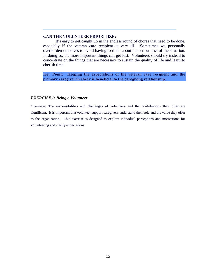#### **CAN THE VOLUNTEER PRIORITIZE?**

It's easy to get caught up in the endless round of chores that need to be done, especially if the veteran care recipient is very ill. Sometimes we personally overburden ourselves to avoid having to think about the seriousness of the situation. In doing so, the more important things can get lost. Volunteers should try instead to concentrate on the things that are necessary to sustain the quality of life and learn to cherish time.

**Key Point: Keeping the expectations of the veteran care recipient and the primary caregiver in check is beneficial to the caregiving relationship.** 

#### *EXERCISE 1: Being a Volunteer*

Overview: The responsibilities and challenges of volunteers and the contributions they offer are significant. It is important that volunteer support caregivers understand their role and the value they offer to the organization. This exercise is designed to explore individual perceptions and motivations for volunteering and clarify expectations.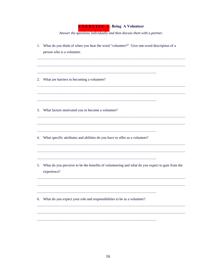#### **EXERCISE 1: Being A Volunteer**

Answer the questions individually and then discuss them with a partner.

- 1. What do you think of when you hear the word "volunteer?" Give one-word description of a person who is a volunteer.
- 2. What are barriers to becoming a volunteer?
- 3. What factors motivated you to become a volunteer?
- 4. What specific attributes and abilities do you have to offer as a volunteer?
- 5. What do you perceive to be the benefits of volunteering and what do you expect to gain from the experience?
- 6. What do you expect your role and responsibilities to be as a volunteer?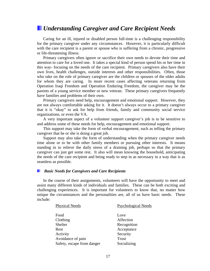## *Understanding Caregiver and Care Recipient Needs*

Caring for an ill, injured or disabled person full-time is a challenging responsibility for the primary caregiver under any circumstances. However, it is particularly difficult with the care recipient is a parent or spouse who is suffering from a chronic, progressive or life-threatening illness.

Primary caregivers often ignore or sacrifice their own needs to devote their time and attention to care for a loved one. It takes a special kind of person spend his or her time in this way- focusing on the needs of the care recipient. Primary caregivers also have their own lives, health challenges, outside interests and other responsibilities. Often, those who take on the role of primary caregiver are the children or spouses of the older adults for whom they are caring. In more recent cases affecting veterans returning from Operation Iraqi Freedom and Operation Enduring Freedom, the caregiver may be the parents of a young service member or new veteran. These primary caregivers frequently have families and problems of their own.

Primary caregivers need help, encouragement and emotional support. However, they are not always comfortable asking for it. It doesn't always occur to a primary caregiver that it is "okay" to ask for help from friends, family and community social service organizations, or even the VA.

A very important aspect of a volunteer support caregiver's job is to be sensitive to and address some of these needs for help, encouragement and emotional support.

This support may take the form of verbal encouragement, such as telling the primary caregiver that he or she is doing a great job.

Support may also take the form of understanding when the primary caregiver needs time alone or to be with other family members or pursuing other interests. It means standing in to relieve the daily stress of a draining job, perhaps so that the primary caregiver can just get some rest. It also will mean knowing the household, anticipating the needs of the care recipient and being ready to step in as necessary in a way that is as seamless as possible.

#### *Basic Needs for Caregivers and Care Recipients*

In the course of their assignments, volunteers will have the opportunity to meet and assist many different kinds of individuals and families. These can be both exciting and challenging experiences. It is important for volunteers to know that, no matter how unique the circumstances and the personalities are, all of us have basic needs. These include:

| <b>Physical Needs</b>      | <b>Psychological Needs</b> |
|----------------------------|----------------------------|
|                            |                            |
| Food                       | Love                       |
| Clothing                   | Affection                  |
| Shelter                    | Recognition                |
| Rest                       | Acceptance                 |
| Activity                   | Security                   |
| Avoidance of pain          | Trust                      |
| Safety, escape from danger | Socializing                |
|                            |                            |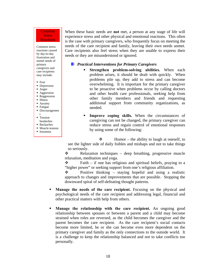#### Common Stress **Reactions**

Common stress reactions caused by day-to-day frustration and unmet needs of primary caregivers and care recipients may include:

- Fear
- Depression
- Anger
- Aggression
- Reggression
- **Illness**
- **Anxiety**
- Fatigue
- Discouragemen t
- **Tension**
- headaches
- Backaches
- Muscle tension
- Insomnia

When these basic needs are **not** met, a person at any stage of life will experience stress and other physical and emotional reactions. This often is the case with primary caregivers, who frequently focus on meeting the needs of the care recipient and family, leaving their own needs unmet. Care recipients also feel stress when they are unable to express their needs or they are misunderstood or ignored.

#### *Practical Interventions for Primary Caregivers*

- **Strengthen problem-solving abilities.** When each problem arises, it should be dealt with quickly. When problems pile up, they add to stress and can become overwhelming. It is important for the primary caregiver to be proactive when problems occur by calling doctors and other health care professionals, seeking help from other family members and friends and requesting additional support from community organizations, as needed.
- **Improve coping skills.** When the circumstances of caregiving can not be changed, the primary caregiver can reduce stress and regain control of emotional responses by using some of the following:

 $\mathbf{\hat{P}}$  Humor – the ability to laugh at oneself, to see the lighter side of daily foibles and mishaps and not to take things so seriously.

 $\triangle$  Relaxation techniques – deep breathing, progressive muscle relaxation, meditation and yoga.

 $\bullet$  Faith – if one has religious and spiritual beliefs, praying to a "higher power" or seeking support from one's religious affiliation.

 $\bullet$  Positive thinking – staying hopeful and using a realistic approach to changes and improvements that are possible. Stopping the downward spiral of self-defeating thought patterns.

- **Manage the needs of the care recipient.** Focusing on the physical and psychological needs of the care recipient and addressing legal, financial and other practical matters with help from others.
- **Manage the relationship with the care recipient.** An ongoing good relationship between spouses or between a parent and a child may become strained when roles are reversed, as the child becomes the caregiver and the parent becomes the care recipient. As the care recipient's social contacts become more limited, he or she can become even more dependent on the primary caregiver and family as the only connections to the outside world. It is a challenge to keep the relationship balanced and not to take conflicts too personally.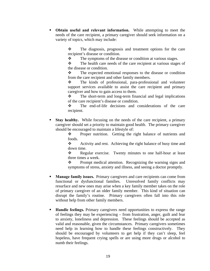**Obtain useful and relevant information.** While attempting to meet the needs of the care recipient, a primary caregiver should seek information on a variety of topics, which may include:

> $\mathbf{\hat{P}}$  The diagnosis, prognosis and treatment options for the care recipient's disease or condition.

• The symptoms of the disease or condition at various stages.

\* The health care needs of the care recipient at various stages of the disease or condition.

 $\mathbf{\hat{P}}$  The expected emotional responses to the disease or condition from the care recipient and other family members.

 The kinds of professional, para-professional and volunteer support services available to assist the care recipient and primary caregiver and how to gain access to them.

 $\mathbf{\hat{P}}$  The short-term and long-term financial and legal implications of the care recipient's disease or condition.

 $\mathbf{\hat{P}}$  The end-of-life decisions and considerations of the care recipient.

**Stay healthy.** While focusing on the needs of the care recipient, a primary caregiver should set a priority to maintain good health. The primary caregiver should be encouraged to maintain a lifestyle of:

> • Proper nutrition. Getting the right balance of nutrients and foods.

> $\triangle$  Activity and rest. Achieving the right balance of busy time and down time.

> • Regular exercise. Twenty minutes to one half-hour at least three times a week.

> $\mathbf{\hat{P}}$  Prompt medical attention. Recognizing the warning signs and symptoms of stress, anxiety and illness, and seeing a doctor promptly.

- **Manage family issues.** Primary caregivers and care recipients can come from functional or dysfunctional families. Unresolved family conflicts may resurface and new ones may arise when a key family member takes on the role of primary caregiver of an older family member. This kind of situation can disrupt the family's routine. Primary caregivers often fall into this role without help from other family members.
- **Handle feelings.** Primary caregivers need opportunities to express the range of feelings they may be experiencing – from frustration, anger, guilt and fear to anxiety, loneliness and depression. These feelings should be accepted as valid and reasonable, given the circumstances. Primary caregivers sometimes need help in learning how to handle these feelings constructively. They should be encouraged by volunteers to get help if they can't sleep, feel hopeless, have frequent crying spells or are using more drugs or alcohol to numb their feelings.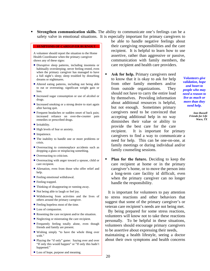**Strengthen communication skills.** The ability to communicate one's feelings can be a safety valve in emotional situations. It is especially important for primary caregivers to

#### **SYMPTOMS OF CAREGIVER BURNOUT**

A volunteer should report the situation to the Home Health Coordinator when the primary caregiver shows any of these signs:

- Disruptive sleep patterns, including insomnia or habitually oversleeping; never feeling rested, even when the primary caregiver has managed to have a full night's sleep; sleep troubled by disturbing dreams or nightmares.
- Altered eating patterns, including not being able to eat or overeating; significant weight gain or loss.
- Increased sugar consumption or use of alcohol or drugs.
- Increased smoking or a strong desire to start again after having quit.
- Frequent headaches or sudden onset of back pain; increased reliance on over-the-counter pain remedies or prescribed drugs.
- Irritability.
- High levels of fear or anxiety.
- Impatience.
- The inability to handle one or more problems or crisis.
- Overreacting to commonplace accidents such as dropping a glass or misplacing something.
- Overreacting to criticism.
- Overreacting with anger toward a spouse, child or care recipient.
- Alienation, even from those who offer relief and help.
- Feeling emotional withdrawal.
- Feeling trapped.
- Thinking of disappearing or running away.
- Not being able to laugh or feel joy.
- Withdrawing from activities and the lives of others around the primary caregiver.
- Feeling hopeless most of the time.
- Loss of compassion.
- Resenting the care recipient and/or the situation.
- Neglecting or mistreating the care recipient.
- Frequently feeling totally alone, even though friends and family are present.
- Wishing simply "to have the whole thing over with."
- Playing the "if only" game: Saying over and over "If only this would happen" or "If only this hadn't happened."
- be able to handle negative feelings about their caregiving responsibilities and the care recipient. It is helpful to learn how to use assertive, rather than aggressive or passive, communication with family members, the care recipient and health care providers.
- **Ask for help.** Primary caregivers need to know that it is okay to ask for help from other family members and/or from outside organizations. They should not have to carry the entire load by themselves. Providing information about additional resources is helpful, but not enough. Sometimes primary caregivers need to be convinced that accepting additional help in no way diminishes their value or ability to provide the best care for the care recipient. It is important for primary caregivers to find a way to communicate a need for help. This can be one-on-one, at family meetings or during individual and/or family counseling sessions.
- **Plan for the future.** Deciding to keep the care recipient at home or in the primary caregiver's home, or to move the person into a long-term care facility id difficult, even when the primary caregiver can no longer handle the responsibility.

 It is important for volunteers to pay attention to stress reactions and other behaviors that suggest that some of the primary caregiver's or veteran care recipient's needs are not being met.

 By being prepared for some stress reactions, volunteers will know not to take these reactions personally. To be helpful in these situations, volunteers should encourage primary caregivers to be assertive about expressing their needs,

maintaining a health lifestyle, seeing a doctor about their own symptoms and health concerns

• Loss of hope, purpose and meaning.

*Volunteers give validation, hope and heart to people who may need a reason to live as much or more than they need help.* 

> *Inez Russell Friends for Life Waco, TX*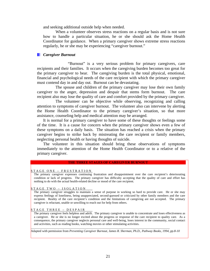and seeking additional outside help when needed.

 When a volunteer observes stress reactions on a regular basis and is not sure how to handle a particular situation, he or she should ask the Home Health Coordinator for guidance. When a primary caregiver shows extreme stress reactions regularly, he or she may be experiencing "caregiver burnout."

#### *Caregiver Burnout*

 "Burnout" is a very serious problem for primary caregivers, care recipients and their families. It occurs when the caregiving burden becomes too great for the primary caregiver to bear. The caregiving burden is the total physical, emotional, financial and psychological needs of the care recipient with which the primary caregiver must contend day in and day out. Burnout can be devastating.

 The spouse and children of the primary caregiver may lose their own family caregiver to the anger, depression and despair that stems form burnout. The care recipient also may lose the quality of care and comfort provided by the primary caregiver.

 The volunteer can be objective while observing, recognizing and calling attention to symptoms of caregiver burnout. The volunteer also can intervene by alerting the Home Health Coordinator to the primary caregiver's situation, so that more assistance, counseling help and medical attention may be arranged.

It is normal for a primary caregiver to have some of these thoughts or feelings some of the time. It is a cause for concern when the primary caregiver shows even a few of these symptoms on a daily basis. The situation has reached a crisis when the primary caregiver begins to strike back by mistreating the care recipient or family members, neglecting personal health or having thoughts of suicide.

The volunteer in this situation should bring these observations of symptoms immediately to the attention of the Home Health Coordinator or to a relative of the primary caregiver.

#### **THE THREE STAGES OF CAREGIVER BURNOUT**

#### STAGE ONE - FRUSTRATION

The primary caregiver expresses continuing frustration and disappointment over the care recipient's deteriorating condition or lack of progress. The primary caregiver has difficulty accepting that the quality of care and effort has nothing to do with the actual health-related decline or mood of the care recipient.

#### STAGE TWO – ISOLATION

The primary caregiver struggles to maintain a sense of purpose in working so hard to provide care. He or she may express feelings of loneliness, being unappreciated, second-guessed or criticized by other family members and the care recipient. Reality of the care recipient's condition and the limitations of caregiving are not accepted. The primary caregiver is reluctant, unable or unwilling to reach out for help from others.

#### STAGE THREE – DESPAIR

The primary caregiver feels helpless and adrift. The primary caregiver is unable to concentrate and loses effectiveness as a caregiver. He or she is no longer excited about the progress or response of the care recipient to quality care. As a consequence, the primary caregiver neglects personal care and well-being, loses interest in the community, social contact and activities, such as reading books, watching movies or other stimulating activities.

Adapted with permission from *Preventing Caregiver Burnout, James R. Sherman, Ph.D., Pathway Books, 1994, pp.8-10* 

 $\mathcal{L}_\text{max}$  and the state of the state of the state of the state of the state of the state of the state of the state of the state of the state of the state of the state of the state of the state of the state of the stat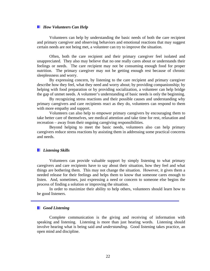#### *How Volunteers Can Help*

Volunteers can help by understanding the basic needs of both the care recipient and primary caregiver and observing behaviors and emotional reactions that may suggest certain needs are not being met, a volunteer can try to improve the situation.

Often, both the care recipient and their primary caregiver feel isolated and unappreciated. They also may believe that no one really cares about or understands their feelings or needs. The care recipient may not be consuming enough food for proper nutrition. The primary caregiver may not be getting enough rest because of chronic sleeplessness and worry.

By expressing concern, by listening to the care recipient and primary caregiver describe how they feel, what they need and worry about; by providing companionship; by helping with food preparation or by providing socialization, a volunteer can help bridge the gap of unmet needs. A volunteer's understanding of basic needs is only the beginning.

By recognizing stress reactions and their possible causes and understanding why primary caregivers and care recipients react as they do, volunteers can respond to them with more empathy and support.

Volunteers can also help to empower primary caregivers by encouraging them to take better care of themselves, see medical attention and take time for rest, relaxation and recreation – away from their ongoing caregiving responsibilities.

Beyond helping to meet the basic needs, volunteers also can help primary caregivers reduce stress reactions by assisting them in addressing some practical concerns and needs.

#### *Listening Skills*

Volunteers can provide valuable support by simply listening to what primary caregivers and care recipients have to say about their situation, how they feel and what things are bothering them. This may not change the situation. However, it gives them a needed release for their feelings and helps them to know that someone cares enough to listen. And, sometimes, just expressing a need or concern to someone else begins the process of finding a solution or improving the situation.

In order to maximize their ability to help others, volunteers should learn how to be good listeners.

#### *Good Listening*

Complete communication is the giving and receiving of information with speaking and listening. Listening is more than just hearing words. Listening should involve hearing what is being said *and understanding*. Good listening takes practice, an open mind and discipline.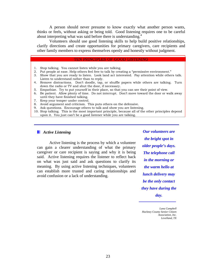A person should never presume to know exactly what another person wants, thinks or feels, without asking or being told. Good listening requires one to be careful about interpreting what was said before there is understanding.<sup>4</sup>

Volunteers should use good listening skills to help build positive relationships, clarify directions and create opportunities for primary caregivers, care recipients and other family members to express themselves openly and honestly without judgment.

#### TEN PRINCIPLES OF GOOD LISTENING

- 1. Stop talking. You cannot listen while you are talking.
- 2. Put people at ease. Help others feel free to talk by creating a "permissive environment."
- 3. Show that you are ready to listen. Look land act interested. Pay attention while others talk. Listen to understand rather than to reply.
- 4. Remove distractions. Don't doodle, tap, or shuffle papers while others are talking. Turn down the radio or TV and shut the door, if necessary.
- 5. Empathize. Try to put yourself in their place, so that you can see their point of view.
- 6. Be patient. Allow plenty of time. Do not interrupt. Don't move toward the door or walk away until they have finished talking.
- 7. Keep your temper under control.
- 8. Avoid argument and criticism. This puts others on the defensive.
- 9. Ask questions. Encourage others to talk and show you are listening.
- 10. Stop talking. This is the most important principle, because all of the other principles depend upon it. You just can't be a good listener while you are talking.

#### *Active Listening*

Active listening is the process by which a volunteer can gain a clearer understanding of what the primary caregiver or care recipient is saying and why it is being said. Active listening requires the listener to reflect back on what was just said and ask questions to clarify its meaning. By using active listening techniques, volunteers can establish more trusted and caring relationships and avoid confusion or a lack of understanding.

*Our volunteers are the bright spot in older people's days. The telephone call in the morning or the warm hello at lunch delivery may be the only contact they have during the day.* 

*Lana Campbell Hackney County Senior Citizen Association, Inc. Levelland, TX*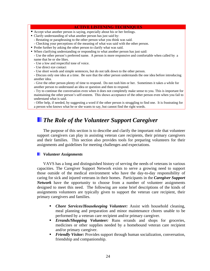#### **ACTIVE LISTENING TECHNIQUES**

- Accept what another person is saying, especially about his or her feelings.
- Clarify understanding of what another person has just said by:
	- Restating or paraphrasing to the other person what you think was said.
	- Checking your perceptions of the meaning of what was said with the other person.
- Probe further by asking the other person to clarify what was said.
- When clarifying understanding or responding to what another person has just said:

- Use the other person's preferred name. A person is more responsive and comfortable when called by a name that he or she likes.

- Use a low and respectful tone of voice.
- Use direct eye contact
- Use short words and simple sentences, but do not talk down to the other person.

- Discuss only one idea at a time. Be sure that the other person understands the one idea before introducing another idea.

- Give the other person plenty of time to respond. Do not rush him or her. Sometimes it takes a while for another person to understand an idea or question and then to respond.

- Try to continue the conversation even when it does not completely make sense to you. This is important for maintaining the other person's self-esteem. This shows acceptance of the other person even when you fail to understand what is said.

- Offer help, if needed, by suggesting a word if the other person is struggling to find one. It is frustrating for a person who knows what he or she wants to say, but cannot find the right words.

## *The Role of the Volunteer Support Caregiver*

The purpose of this section is to describe and clarify the important role that volunteer support caregivers can play in assisting veteran care recipients, their primary caregivers and their families. This section also provides tools for preparing volunteers for their assignments and guidelines for meeting challenges and expectations.

#### *Volunteer Assignments*

VAVS has a long and distinguished history of serving the needs of veterans in various capacities. The Caregiver Support Network exists to serve a growing need to support those outside of the medical environment who have the day-to-day responsibility of caring for sick and injured veterans in their homes. Participants in the *Caregiver Support Network* have the opportunity to choose from a number of volunteer assignments designed to meet this need. The following are some brief descriptions of the kinds of assignments volunteers are typically given to support the veteran care recipient, their primary caregivers and families.

- *Chore Services/Housekeeping Volunteer:* Assist with household cleaning, meal planning and preparation and minor maintenance chores unable to be performed by a veteran care recipient and/or primary caregiver.
- *Errands/Shopping Volunteer:* Runs errands and shops for groceries, medicines or other supplies needed by a homebound veteran care recipient and/or primary caregiver.
- *Friendly Visitor:* Provides support through human socialization, conversation, friendship and companionship.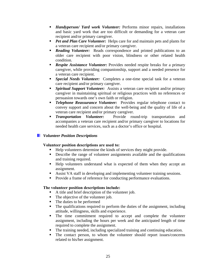- *Handyperson/ Yard work Volunteer:* Performs minor repairs, installations and basic yard work that are too difficult or demanding for a veteran care recipient and/or primary caregiver.
- **Pet and Plan Care Volunteer:** Helps care for and maintain pets and plants for a veteran care recipient and/or primary caregiver.
- **Reading Volunteer:** Reads correspondence and printed publications to an older care recipient with poor vision, blindness or other related health condition.
- **Respite Assistance Volunteer:** Provides needed respite breaks for a primary caregiver, while providing companionship, support and a needed presence for a veteran care recipient.
- *Special Needs Volunteer:* Completes a one-time special task for a veteran care recipient and/or primary caregiver.
- *Spiritual Support Volunteer:* Assists a veteran care recipient and/or primary caregiver in maintaining spiritual or religious practices with no references or persuasion towards one's own faith or religion.
- **Telephone Reassurance Volunteer:** Provides regular telephone contact to convey support and concern about the well-being and the quality of life of a veteran care recipient and/or primary caregiver.
- *Transportation Volunteer:* Provide round-trip transportation and accompanies a veteran care recipient and/or primary caregiver to locations for needed health care services, such as a doctor's office or hospital.

#### *Volunteer Position Descriptions*

#### **Volunteer position descriptions are used to:**

- Help volunteers determine the kinds of services they might provide.
- Describe the range of volunteer assignments available and the qualifications and training required.
- Help volunteers understand what is expected of them when they accept an assignment.
- Assist VA staff in developing and implementing volunteer training sessions.
- Provide a frame of reference for conducting performance evaluations.

#### **The volunteer position descriptions include:**

- A title and brief description of the volunteer job.
- The objective of the volunteer job.
- The duties to be performed
- The qualifications required to perform the duties of the assignment, including attitude, willingness, skills and experience.
- The time commitment required to accept and complete the volunteer assignment, including the hours per week and the anticipated length of time required to complete the assignment.
- The training needed, including specialized training and continuing education.
- The contact person, to whom the volunteer should report issues/concerns related to his/her assignment.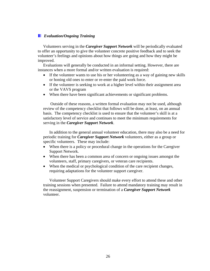#### *Evaluation/Ongoing Training*

Volunteers serving in the *Caregiver Support Network* will be periodically evaluated to offer an opportunity to give the volunteer concrete positive feedback and to seek the volunteer's feelings and opinions about how things are going and how they might be improved.

Evaluations will generally be conducted in an informal setting. However, there are instances when a more formal and/or written evaluation is required:

- If the volunteer wants to use his or her volunteering as a way of gaining new skills or honing old ones to enter or re-enter the paid work force.
- If the volunteer is seeking to work at a higher level within their assignment area or the VAVS program
- When there have been significant achievements or significant problems.

 Outside of these reasons, a written formal evaluation may not be used, although review of the competency checklist that follows will be done, at least, on an annual basis. The competency checklist is used to ensure that the volunteer's skill is at a satisfactory level of service and continues to meet the minimum requirements for serving in the *Caregiver Support Network*.

In addition to the general annual volunteer education, there may also be a need for periodic training for *Caregiver Support Network* volunteers, either as a group or specific volunteers. These may include:

- When there is a policy or procedural change in the operations for the Caregiver Support Network.
- When there has been a common area of concern or ongoing issues amongst the volunteers, staff, primary caregivers, or veteran care recipients.
- When the medical or psychological condition of the care recipient changes, requiring adaptations for the volunteer support caregiver.

Volunteer Support Caregivers should make every effort to attend these and other training sessions when presented. Failure to attend mandatory training may result in the reassignment, suspension or termination of a *Caregiver Support Network* volunteer.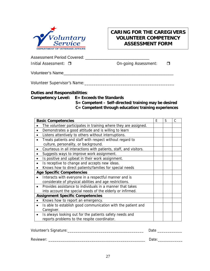

## **CARING FOR THE CAREGIVERS VOLUNTEER COMPETENCY ASSESSMENT FORM**

Assessment Period Covered: \_\_\_\_\_\_\_\_\_\_\_\_\_\_\_\_\_\_\_\_\_\_\_\_\_\_\_\_

Initial Assessment: □ (Intial Assessment: On-going Assessment: On-going Assessment:

Volunteer's Name\_\_\_\_\_\_\_\_\_\_\_\_\_\_\_\_\_\_\_\_\_\_\_\_\_\_\_\_\_\_\_\_\_\_\_\_\_\_\_\_\_\_\_\_\_\_\_\_

Volunteer Supervisor's Name:\_\_\_\_\_\_\_\_\_\_\_\_\_\_\_\_\_\_\_\_\_\_\_\_\_\_\_\_\_\_\_\_\_\_\_\_\_\_\_\_

### **Duties and Responsibilities**:

**Competency Level: E= Exceeds the Standards** 

 **S= Competent – Self-directed/training may be desired C= Competent through education/training experiences** 

| <b>Basic Competencies</b>                                                 |  | S | C |
|---------------------------------------------------------------------------|--|---|---|
| The volunteer participates in training where they are assigned.           |  |   |   |
| Demonstrates a good attitude and is willing to learn<br>$\bullet$         |  |   |   |
| Listens attentively to others without interruptions.<br>$\bullet$         |  |   |   |
| Treats patients and staff with respect without regard to<br>$\bullet$     |  |   |   |
| culture, personality, or background.                                      |  |   |   |
| Courteous in all interactions with patients, staff, and visitors.         |  |   |   |
| Suggests ways to improve work assignment.<br>$\bullet$                    |  |   |   |
| Is positive and upbeat in their work assignment.                          |  |   |   |
| Is receptive to change and accepts new ideas.<br>$\bullet$                |  |   |   |
| Knows how to direct patients/families for special needs                   |  |   |   |
| <b>Age Specific Competencies</b>                                          |  |   |   |
| Interacts with everyone in a respectful manner and is                     |  |   |   |
| considerate of physical abilities and age restrictions.                   |  |   |   |
| Provides assistance to individuals in a manner that takes<br>$\bullet$    |  |   |   |
| into account the special needs of the elderly or infirmed.                |  |   |   |
| <b>Assignment Specific Competencies</b>                                   |  |   |   |
| Knows how to report an emergency.                                         |  |   |   |
| Is able to establish good communication with the patient and<br>$\bullet$ |  |   |   |
| Caregiver.                                                                |  |   |   |
| Is always looking out for the patients safety needs and<br>$\bullet$      |  |   |   |
| reports problems to the respite coordinator.                              |  |   |   |

| Volunteer's Signature: | Date  |
|------------------------|-------|
| Reviewer:              | Date: |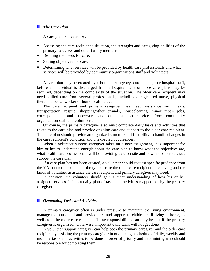#### *The Care Plan*

A care plan is created by:

- Assessing the care recipient's situation, the strengths and caregiving abilities of the primary caregiver and other family members.
- Defining the needs for care.
- Setting objectives for care.
- **•** Determining what services will be provided by health care professionals and what services will be provided by community organizations staff and volunteers.

A care plan may be created by a home care agency, care manager or hospital staff, before an individual is discharged from a hospital. One or more care plans may be required, depending on the complexity of the situation. The older care recipient may need skilled care from several professionals, including a registered nurse, physical therapist, social worker or home health aide.

The care recipient and primary caregiver may need assistance with meals, transportation, respite, shopping/other errands, housecleaning, minor repair jobs, correspondence and paperwork and other support services from community organization staff and volunteers.

Of course, the primary caregiver also must complete daily tasks and activities that relate to the care plan and provide ongoing care and support to the older care recipient. The care plan should provide an organized structure and flexibility to handle changes in the care recipient's condition and unexpected occurrences.

When a volunteer support caregiver takes on a new assignment, it is important for him or her to understand enough about the care plan to know what the objectives are, what health care professionals will be providing care on-site and how his or her services support the care plan.

If a care plan has not been created, a volunteer should request specific guidance from the VA contact person about the type of care the older care recipient is receiving and the kinds of volunteer assistance the care recipient and primary caregiver may need.

In addition, the volunteer should gain a clear understanding of how his or her assigned services fit into a daily plan of tasks and activities mapped out by the primary caregiver.

#### *Organizing Tasks and Activities*

A primary caregiver often is under pressure to maintain the living environment, manage the household and provide care and support to children still living at home, as well as to the older care recipient. These responsibilities can only be met if the primary caregiver is organized. Otherwise, important daily tasks will not get done.

A volunteer support caregiver can help both the primary caregiver and the older care recipient by assisting the primary caregiver in organizing a schedule of daily, weekly and monthly tasks and activities to be done in order of priority and determining who should be responsible for completing them.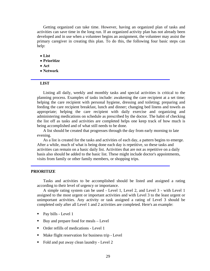Getting organized can take time. However, having an organized plan of tasks and activities can save time in the long run. If an organized activity plan has not already been developed and in use when a volunteer begins an assignment, the volunteer may assist the primary caregiver in creating this plan. To do this, the following four basic steps can help:

- **List**
- **Prioritize**
- **Act**
- **Network**

#### **LIST**

Listing all daily, weekly and monthly tasks and special activities is critical to the planning process. Examples of tasks include: awakening the care recipient at a set time; helping the care recipient with personal hygiene, dressing and toileting; preparing and feeding the care recipient breakfast, lunch and dinner; changing bed linens and towels as appropriate; helping the care recipient with daily exercise and organizing and administering medications on schedule as prescribed by the doctor. The habit of checking the list off as tasks and activities are completed helps one keep track of how much is being accomplished and of what still needs to be done.

A list should be created that progresses through the day from early morning to late evening.

As a list is created for the tasks and activities of each day, a pattern begins to emerge. After a while, much of what is being done each day is repetitive, so these tasks and activities can remain on a basic daily list. Activities that are not as repetitive on a daily basis also should be added to the basic list. These might include doctor's appointments, visits from family or other family members, or shopping trips.

#### **PRIORITIZE**

Tasks and activities to be accomplished should be listed and assigned a rating according to their level of urgency or importance.

A simple rating system can be used - Level 1, Level 2, and Level 3 - with Level 1 assigned to the most urgent or important activities and with Level 3 to the least urgent or unimportant activities. Any activity or task assigned a rating of Level 3 should be completed only after all Level 1 and 2 activities are completed. Here's an example:

- Pay bills Level 1
- Buy and prepare food for meals Level
- Order refills of medications Level 1
- Make flight reservation for business trip Level
- Fold and put away clean laundry Level 2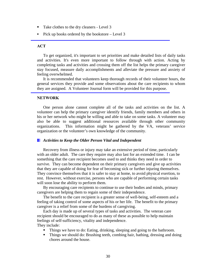- Take clothes to the dry cleaners Level 3
- Pick up books ordered by the bookstore Level 3

#### **ACT**

To get organized, it's important to set priorities and make detailed lists of daily tasks and activities. It's even more important to follow through with action. Acting by completing tasks and activities and crossing them off the list helps the primary caregiver stay focused, measure daily accomplishments and alleviate the pressure and anxiety of feeling overwhelmed.

It is recommended that volunteers keep thorough records of their volunteer hours, the general services they provide and some observations about the care recipients to whom they are assigned. A Volunteer Journal form will be provided for this purpose.

#### **NETWORK**

One person alone cannot complete all of the tasks and activities on the list. A volunteer can help the primary caregiver identify friends, family members and others in his or her network who might be willing and able to take on some tasks. A volunteer may also be able to suggest additional resources available through other community organizations. This information might be gathered by the VA, veterans' service organization or the volunteer's own knowledge of the community.

#### *Activities to Keep the Older Person Vital and Independent*

Recovery from illness or injury may take an extensive period of time, particularly with an older adult. The care they require may also last for an extended time. I can be something that the care recipient becomes used to and thinks they need in order to survive. They can become dependent on their primary caregivers and give up activities that they are capable of doing for fear of becoming sick or further injuring themselves. They convince themselves that it is safer to stay at home, to avoid physical exertion, to rest. However, without exercise, persons who are capable of performing certain tasks will soon lose the ability to perform them.

By encouraging care recipients to continue to use their bodies and minds, primary caregivers are helping them to regain some of their independence.

The benefit to the care recipient is a greater sense of well-being, self-esteem and a feeling of taking control of some aspects of his or her life. The benefit to the primary caregiver is a relief from some of the burdens of caregiving.

Each day is made up of several types of tasks and activities. The veteran care recipient should be encouraged to do as many of these as possible to help maintain feelings of self-sufficiency, vitality and independence. They include:

- Things we have to do: Eating, drinking, sleeping and going to the bathroom.
- Things we should do: Brushing teeth, combing hair, bathing, dressing and doing chores around the house.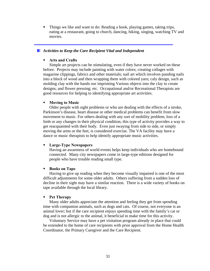Things we like and want to do: Reading a book, playing games, taking trips, eating at a restaurant, going to church, dancing, hiking, singing, watching TV and movies.

#### *Activities to Keep the Care Recipient Vital and Independent*

#### **Arts and Crafts**

Simple art projects can be stimulating, even if they have never worked on these before. Projects may include painting with water colors; creating collages with magazine clippings, fabrics and other materials; nail art which involves punding nails into a block of wood and then wrapping them with colored yarn; caly design, such as molding clay with the hands oor imprinting Various objects into the clay to create designs; and flower pressing; etc. Occupational and/or Recreational Therapists are good resources for helping to identifying appropriate art activities.

#### **Moving to Music**

Older people with sight problems or who are dealing with the effects of a stroke, Parkinson's disease, heart disease or other medical problems can benefit from slow movement to music. For others dealing with any sort of mobility problem, loss of a limb or any changes in their physical condition, this type of activity provides a way to get reacquainted with their body. Even just swaying from side to side, or simply moving the arms or the feet, is considered exercise. The VA facility may have a dance or music therapists to help identify appropriate music activities.

#### **Large-Type Newspapers**

Having an awareness of world events helps keep individuals who are homebound connected. Many city newspapers come in large-type editions designed for people who have trouble reading small type.

#### **Books on Tape**

Having to give up reading when they become visually impaired is one of the most difficult adjustments for some older adults. Others suffering from a sudden loss of decline in their sight may have a similar reaction. There is a wide variety of books on tape available through the local library.

#### **Pet Therapy**

Many older adults appreciate the attention and feeling they get from spending time with companion animals, such as dogs and cats. Of course, not everyone is an animal lover; but if the care recipient enjoys spending time with the family's cat or dog and is not allergic to the animal, it beneficial to make time for this activity.

Voluntary Service may have a pet visitation program already in place that could be extended to the home of care recipients with prior approval from the Home Health Coordinator, the Primary Caregiver and the Care Recipient.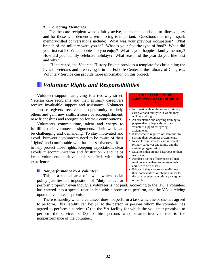#### **Collecting Memories**

For the care recipient who is fairly active, but homebound due to illness/injury and for those with dementia, reminiscing is important. Questions that might spark memory-filled conversations include: What was your previous occupation? What branch of the military were you in? What is your favorite type of food? When did you first eat it? What hobbies do you enjoy? What is your happiest family memory? How did your family celebrate holidays? What season of the year do you like best and why?

 If interested, the Veterans History Project provides a template for chronicling the lives of veterans and preserving it in the Folklife Center at the Library of Congress. Voluntary Service can provide more information on this project.

## *Volunteer Rights and Responsibilities*

Volunteer support caregiving is a two-way street. Veteran care recipients and their primary caregivers receive invaluable support and assistance. Volunteer support caregivers receive the opportunity to help others and gain new skills, a sense of accomplishment, new friendships and recognition for their contributions.

Volunteers commit time, talent and energy to fulfilling their volunteer assignments. Their work can be challenging and demanding. To stay motivated and avoid "burn-out," volunteers need to be aware of their "rights" and comfortable with basic assertiveness skills to help protect those rights. Keeping expectations clear avoids miscommunication and frustration - and helps keep volunteers positive and satisfied with their experience.

#### *Nonperformance by a Volunteer*

This is a special area of law in which social policy justifies an imposition of "duty to act or

**VOLUNTEER SUPPORT CAREGIVERS HAVE THE RIGHT TO:** 

- **Information about the veteran, primary** caregiver and family with whom they will be working.
- An orientation and ongoing training to prepare them adequately for their volunteer support caregiving assignments.
- Know what is required of them prior to starting their volunteer assignments.
- Respect from the older care recipient, primary caregiver and family and the assigning organization.
- Situations that are not hazardous to their well-being.
- **Feedback on the effectiveness of their** work to enable them to improve their abilities to help others.
- Privacy if they choose not to disclose their home address or phone number to the care recipient, the primary caregiver or family

perform properly" even though a volunteer is not paid. According to the law, a volunteer has entered into a special relationship with a promise to perform, and the VA is relying upon the volunteer's promise.

There is liability when a volunteer does not perform a task which he or she has agreed to perform. This liability can be: (1) to the person or persons whom the volunteer has agreed to perform a service; (2) to the VA facility for which the volunteer promised to perform the service; or (3) to third persons who became involved due to the nonperformance of the volunteer.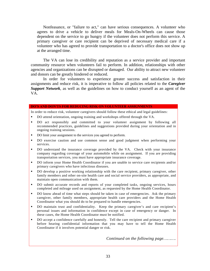Nonfeasance, or "failure to act," can have serious consequences. A volunteer who agrees to drive a vehicle to deliver meals for Meals-On-Wheels can cause those dependent on the service to go hungry if the volunteer does not perform this service. A primary caregiver or care recipient can be deprived of necessary medical care if a volunteer who has agreed to provide transportation to a doctor's office does not show up at the arranged time.

The VA can lose its credibility and reputation as a service provider and important community resource when volunteers fail to perform. In addition, relationships with other agencies and organizations can be disrupted or damaged. Our ability to attract new volunteer and donors can be greatly hindered or reduced.

In order for volunteers to experience greater success and satisfaction in their assignments and reduce risk, it is imperative to follow all policies related to the *Caregiver Support Network*, as well as the guidelines on how to conduct yourself as an agent of the VA.

#### **DO'S AND DON'TS FOR REDUCING RISK ON VOLUNTEER ASSIGNMENTS**

In order to reduce risk, volunteer caregivers should follow these ethical and legal guidelines:

- DO attend orientation, ongoing training and workshops offered through the VA.
- DO act responsibly and committed to your volunteer assignment by following all recommended practices, guidelines and suggestions provided during your orientation and in ongoing training sessions.
- DO limit your assignment to the services you agreed to perform.
- DO exercise caution and use common sense and good judgment when performing your services.
- DO understand the insurance coverage provided by the VA. Check with your insurance company regarding coverage of your automobile while on assignment. If you are providing transportation services, you must have appropriate insurance coverage.
- DO inform your Home Health Coordinator if you are unable to service care recipients and/or primary caregivers who have infectious diseases.
- DO develop a positive working relationship with the care recipient, primary caregiver, other family members and other on-site health care and social service providers, as appropriate, and maintain open communication with them.
- DO submit accurate records and reports of your completed tasks, ongoing services, hours completed and mileage used on assignment, as requested by the Home Health Coordinator.
- DO know ahead of time what steps should be taken in case of emergencies. Ask the primary caregiver, other family members, appropriate health care providers and the Home Health Coordinator what you should do to be prepared to handle emergencies.
- DO maintain trust and confidentiality. Keep the primary caregiver's and care recipient's personal issues and information in confidence except in case of emergency or danger. In these cases, the Home Health Coordinator must be notified.
- DO accept a confidence carefully and honestly. Tell the care recipient and primary caregiver before hearing confidential information that you may have to tell the Home Health Coordinator if it involves potential danger or risk.

*Continued on the following page……….*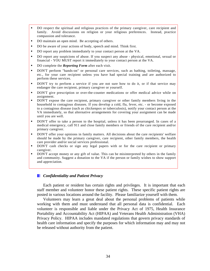- DO respect the spiritual and religious practices of the primary caregiver, care recipient and family. Avoid discussions on religion or your religious preferences. Instead, practice compassion and tolerance.
- DO maintain an open mind. Be accepting of others.
- DO be aware of your actions of body, speech and mind. Think first.
- DO report any problem immediately to your contact person at the VA.
- DO report any suspicions of abuse. If you suspect any abuse physical, emotional, sexual or financial - YOU MUST report it immediately to your contact person at the VA.
- DO complete the *Reporting Form* after each visit.
- DON'T perform "hands-on" or personal care services, such as bathing, toileting, massage, etc., for your care recipient unless you have had special training and are authorized to perform these services.
- DON'T try to perform a service if you are not sure how to do it, or if that service may endanger the care recipient, primary caregiver or yourself.
- **DON'T** give prescription or over-the-counter medications or offer medical advice while on assignment.
- DON'T expose the care recipient, primary caregiver or other family members living in the household to contagious diseases. If you develop a cold, flu, fever, etc. - or become exposed to a contagious disease (such as chickenpox or tuberculosis), notify your contact person at the VA immediately, so that alternative arrangements for covering your assignment can be made until you are well.
- DON'T offer to take a person to the hospital, unless it has been prearranged. In cases of a medical emergency, call 911 and close family members or friends of the care recipient and/or primary caregiver.
- DON'T offer your opinions in family matters. All decisions about the care recipients' welfare should be made by the primary caregiver, care recipient, other family members, the health care provider and/or social services professional.
- DON'T cash checks or sign any legal papers with or for the care recipient or primary caregiver.
- DON'T accept money or any gift of value. This can be misinterpreted by others in the family and community. Suggest a donation to the VA if the person or family wishes to show support and appreciation.

#### *Confidentiality and Patient Privacy*

Each patient or resident has certain rights and privileges. It is important that each staff member and volunteer honor these patient rights. These specific patient rights are posted in various locations around the facility. Please familiarize yourself with them.

Volunteers may learn a great deal about the personal problems of patients while working with them and must understand that all personal data is confidential. Each volunteer is responsible and liable under the Privacy Act of 1975, Health Insurance Portability and Accountability Act (HIPAA) and Veterans Health Administration (VHA) Privacy Policy. HIPAA includes mandated regulations that govern privacy standards of health care information and specify the purposes for which information may and may not be released without authority from the patient.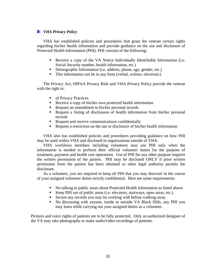#### *VHA Privacy Policy*

VHA has established policies and procedures that grant the veteran certain rights regarding his/her health information and provide guidance on the use and disclosure of Protected Health Information (PHI). PHI consists of the following:

- Receive a copy of the VA Notice Individually Identifiable Information (i.e. Social Security number, health information, etc.)
- Demographic Information (i.e. address, phone, age, gender, etc.)
- This information can be in any form (verbal, written, electronic)

The Privacy Act, HIPAA Privacy Rule and VHA Privacy Policy provide the veteran with the right to:

- **of Privacy Practices**
- Receive a copy of his/her own protected health information
- Request an amendment to his/her personal records
- Request a listing of disclosures of health information from his/her personal records
- Request and receive communications confidentially
- Request a restriction on the use or disclosure of his/her health information

VHA also has established policies and procedures providing guidance on how PHI may be used within VHA and disclosed to organizations outside of VHA.

VHA workforce members including volunteers may use PHI only when the information is needed to perform their official volunteer duties for the purpose of treatment, payment and health care operations. Use of PHI for any other purpose requires the written permission of the patient. PHI may be disclosed ONLY if prior written permission from the patient has been obtained or other legal authority permits the disclosure.

As a volunteer, you are required to keep all PHI that you may discover in the course of your assigned volunteer duties strictly confidential. Here are some requirements:

- No talking in public areas about Protected Health Information as listed above
- Keep PHI out of public areas (i.e. elevators, stairways, open areas, etc.)
- Secure any records you may be working with before walking away
- No discussing with anyone, inside or outside VA Black Hills, any PHI you may learn while carrying out your assigned duties as a volunteer.

Pictures and voice rights of patients are to be fully protected. Only an authorized designee of the VA may take photographs or make audio/video recordings of patients.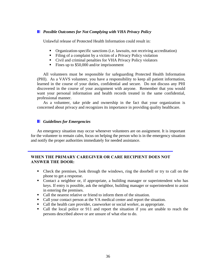#### *Possible Outcomes for Not Complying with VHA Privacy Policy*

Unlawful release of Protected Health Information could result in:

- Organization-specific sanctions (i.e. lawsuits, not receiving accreditation)
- Filing of a complaint by a victim of a Privacy Policy violation
- Civil and criminal penalties for VHA Privacy Policy violators
- Fines up to \$50,000 and/or imprisonment

All volunteers must be responsible for safeguarding Protected Health Information (PHI). As a VAVS volunteer, you have a responsibility to keep all patient information, learned in the course of your duties, confidential and secure. Do not discuss any PHI discovered in the course of your assignment with anyone. Remember that you would want your personal information and health records treated in the same confidential, professional manner.

As a volunteer, take pride and ownership in the fact that your organization is concerned about privacy and recognizes its importance in providing quality healthcare.

#### *Guidelines for Emergencies*

An emergency situation may occur whenever volunteers are on assignment. It is important for the volunteer to remain calm, focus on helping the person who is in the emergency situation and notify the proper authorities immediately for needed assistance.

#### **WHEN THE PRIMARY CAREGIVER OR CARE RECIPIENT DOES NOT ANSWER THE DOOR:**

- Check the premises, look through the windows, ring the doorbell or try to call on the phone to get a response.
- Contact a neighbor or, if appropriate, a building manager or superintendent who has keys. If entry is possible, ask the neighbor, building manager or superintendent to assist in entering the premises.
- Call the nearest relative or friend to inform them of the situation.
- Call your contact person at the VA medical center and report the situation.
- Call the health care provider, caseworker or social worker, as appropriate.
- Call the local police or 911 and report the situation if you are unable to reach the persons described above or are unsure of what else to do.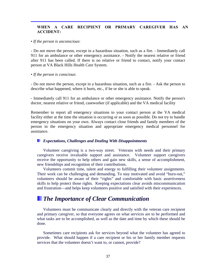# **WHEN A CARE RECIPIENT OR PRIMARY CAREGIVER HAS AN ACCIDENT:**

### • *If the person is unconscious*:

- Do not move the person, except in a hazardous situation, such as a fire. - Immediately call 911 for an ambulance or other emergency assistance. - Notify the nearest relative or friend after 911 has been called. If there is no relative or friend to contact, notify your contact person at VA Black Hills Health Care System.

### • *If the person is conscious*:

- Do not move the person, except in a hazardous situation, such as a fire. - Ask the person to describe what happened, where it hurts, etc., if he or she is able to speak.

- Immediately call 911 for an ambulance or other emergency assistance. Notify the person's doctor, nearest relative or friend, caseworker (if applicable) and the VA medical facility

Remember to report all emergency situations to your contact person at the VA medical facility either at the time the situation is occurring or as soon as possible. Do not try to handle emergency situations on your own. Always contact close friends and family members of the person in the emergency situation and appropriate emergency medical personnel for assistance.

## *Expectations, Challenges and Dealing With Disappointments*

Volunteer caregiving is a two-way street. Veterans with needs and their primary caregivers receive invaluable support and assistance. Volunteer support caregivers receive the opportunity to help others and gain new skills, a sense of accomplishment, new friendships and recognition of their contributions.

 Volunteers commit time, talent and energy to fulfilling their volunteer assignments. Their work can be challenging and demanding. To stay motivated and avoid "burn-out," volunteers should be aware of their "rights" and comfortable with basic assertiveness skills to help protect those rights. Keeping expectations clear avoids miscommunication and frustration—and helps keep volunteers positive and satisfied with their experiences.

# *The Importance of Clear Communication*

Volunteers must be communicate clearly and directly with the veteran care recipient and primary caregiver, so that everyone agrees on what services are to be performed and what tasks are to be accomplished, as well as the date and time by which these should be done.

Sometimes care recipients ask for services beyond what the volunteer has agreed to provide. What should happen if a care recipient or his or her family member requests services that the volunteer doesn't want to, or cannot, provide?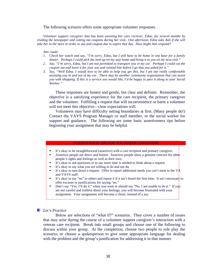### The following scenario offers some appropriate volunteer responses.

*Volunteer support caregiver Ann has been assisting her care receiver, Edna, for several months by reading the newspaper and cutting out coupons during her visit. One afternoon, Edna asks Ann if she will take her to the store in order to use and coupon due to expire that day. How might Ann respond?* 

#### *Ann could:*

- *1. Check her watch and say, "I'm sorry, Edna, but I still have to be home in one hour for a family dinner. Perhaps I could pick the item up on my way home and bring it to you on my next visit."*
- *2. Say, "I'm sorry, Edna, but I am not permitted to transport you in my car. Perhaps I could cut the coupon out and leave it for your son and remind him before I go that you asked for it."*
- *3. Say, "Well Edna, I would love to be able to help you get this, but I am not really comfortable assisting you in and out of my car. There may be another community organization that can assist you with shopping. If this is a service you would like, I'd be happy to pass it along to your Social Worker."*

These responses are honest and gentle, but clear and definite. Remember, the objective is a satisfying experience for the care recipient, the primary caregiver and the volunteer. Fulfilling a request that will inconvenience or harm a volunteer will not meet this objective—clear expectations will.

 Volunteers may have difficulty setting boundaries at first. (Many people do!) Contact the VAVS Program Manager or staff member, or the social worker for support and guidance. The following are some basic assertiveness tips before beginning your assignment that may be helpful.

### ASSERTIVENESS TIPS FOR VOLUNTEER CAREGIVERS

- It's okay to be straightforward (assertive) with a care recipient and primary caregiver.
- Assertive people are direct and honest. Assertive people show a genuine concern for other people's rights and feelings as well as their own.
- It's okay to ask questions or to say more time is needed to think about a request.
- It's okay to say what you are willing to do and not do.
- It's okay to turn down a request. Offer to report additional needs you can't meet to the VA and VAVS staff.
- It's okay to say "no" to others and repeat it if it isn't heard the first time. It isn't necessary to offer excuses or justifications for saying "no."
- Don't say "Yes, I'll do it." when you want or should say "No, I am unable to do it." If you are not careful and truthful about your feelings, you will become frustrated with your assignment. Your assignment will become a chore, instead of a joy.

### *Let's Practice*

Below are selections of "what if?" scenarios. They cover a number of issues that may arise during the course of a volunteer support caregiver's interaction with a veteran care recipient. Break into small groups and choose one of the following to discuss within your group. At the completion, choose two people to role play the scenario; or choose a spokesperson to give some appropriate language for dealing with the problem and the group's justification for addressing it in that manner.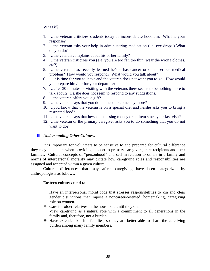# **What if?**

- 1. …the veteran criticizes students today as inconsiderate hoodlum. What is your response?
- 2. …the veteran asks your help in administering medication (i.e. eye drops.) What do you do?
- 3. …the veteran complains about his or her family?
- 4. …the veteran criticizes you (e.g. you are too fat, too thin, wear the wrong clothes, etc?)
- 5. …the veteran has recently learned he/she has cancer or other serious medical problem? How would you respond? What would you talk about?
- 6. …it is time for you to leave and the veteran does not want you to go. How would you prepare him/her for your departure?
- 7. …after 30 minutes of visiting with the veterans there seems to be nothing more to talk about? He/she does not seem to respond to any suggestions.
- 8. …the veteran offers you a gift?
- 9. …the veteran says that you do not need to come any more?
- 10. …you know that the veteran is on a special diet and he/she asks you to bring a restricted food?
- 11. …the veteran says that he/she is missing money or an item since your last visit?
- 12. …the veteran or the primary caregiver asks you to do something that you do not want to do?

# *Understanding Other Cultures*

It is important for volunteers to be sensitive to and prepared for cultural difference they may encounter when providing support to primary caregivers, care recipients and their families. Cultural concepts of "personhood" and self in relation to others in a family and norms of interpersonal morality may dictate how caregiving roles and responsibilities are assigned and accepted within a given culture.

Cultural differences that may affect caregiving have been categorized by anthropologists as follows:

# **Eastern cultures tend to:**

- $\div$  Have an interpersonal moral code that stresses responsibilities to kin and clear gender distinctions that impose a noncareer-oriented, homemaking, caregiving role on women.
- Care for older relatives in the household until they die.
- $\div$  View caretiving as a natural role with a commitment to all generations in the family and, therefore, not a burden.
- Have extended kinship families, so they are better able to share the caretiving burden among many family members.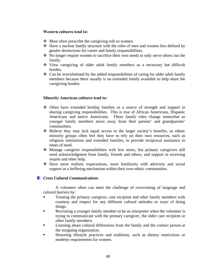# **Western cultures tend to:**

- $\triangleleft$  Most often prescribe the caregiving role to women.
- Have a nuclear family structure with the roles of men and women less defined by gender distinctions for career and family responsibilities.
- No longer require women to sacrifice their own needs to only serve others inn the family.
- View caregiving of older adult family members as a necessary but difficult burden.
- $\div$  Can be overwhelmed by the added responsibilities of caring for older adult family members because there usually is no extended family available to help share the caregiving burden.

# **Minority American cultures tend to:**

- Often have extended kinship families as a source of strength and support in sharing caregiving responsibilities. This is true of African Americans, Hispanic Americans and native Americans. These family roles change somewhat as younger family members move away from their parents' and grandparents' communities.
- $\div$  Believe they may lack equal access to the larger society's benefits, so ethnic minority groups often feel they have to rely on their own resources, such as religious institutions and extended families, to provide reciprocal assistance in times of need.
- Manage caregiver responsibilities with less stress, but primary caregivers still need acknowledgment from family, friends and others, and support in receiving respite and other help.
- $\div$  Have more realistic expectations, more familiarity with adversity and social support as a buffering mechanism within their own ethnic communities.

# *Cross Cultural Communications*

A volunteer often can meet the challenge of overcoming of language and cultural barriers by:

- Treating the primary caregiver, care recipient and other family members with courtesy and respect for any different cultural attitudes or ways of doing things.
- Recruiting a younger family member to be an interpreter when the volunteer is trying to communicate with the primary caregiver, the older care recipient or other family members.
- Learning about cultural differences from the family and the contact person at the assigning organization.
- Honoring lifestyle practices and traditions, such as dietary restrictions or modesty requirements for women.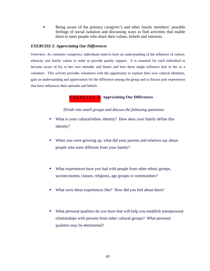Being aware of the primary caregiver's and other family members' possible feelings of social isolation and discussing ways to find activities that enable them to meet people who share their values, beliefs and interests.

# *EXERCISE 2: Appreciating Our Differences*

Overview: As volunteer caregivers, individuals need to have an understanding of the influence of culture, ethnicity and family values in order to provide quality support. It is essential for each individual to become aware of his or her own attitudes and biases and how these might influence him or her as a volunteer. This activity provides volunteers with the opportunity to explore their own cultural identities, gain an understanding and appreciation for the difference among the group and to discuss past experiences that have influences their attitudes and beliefs.

# **EXERCISE 2: Appreciating Our Differences**

*Divide into small groups and discuss the following questions:* 

- What is your cultural/ethnic identity? How does your family define this identity?
- When you were growing up, what did your parents and relatives say about people who were different from your family?
- What experiences have you had with people from other ethnic groups, socioeconomic classes, religions, age groups or communities?
- What were these experiences like? How did you feel about them?
- What personal qualities do you have that will help you establish interpersonal relationships with persons from other cultural groups? What personal qualities may be detrimental?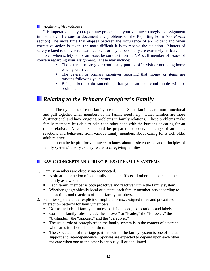# *Dealing with Problems*

It is imperative that you report any problems in your volunteer caregiving assignment immediately. Be sure to document any problems on the Reporting Form (see *Forms* section) The more time that elapses between the occurrence of an incident and when corrective action is taken, the more difficult it is to resolve the situation. Matters of safety related to the veteran care recipient or to you personally are extremely critical.

Even when safety is not an issue, be sure to inform a VA staff member of issues of concern regarding your assignment. These may include:

- The veteran or caregiver continually putting off a visit or not being home when you arrive
- The veteran or primary caregiver reporting that money or items are missing following your visits.
- Being asked to do something that your are not comfortable with or prohibited

# *Relating to the Primary Caregiver's Family*

The dynamics of each family are unique. Some families are more functional and pull together when members of the family need help. Other families are more dysfunctional and have ongoing problems in family relations. These problems make family members less able to help each other cope with the burdens of caring for an older relative. A volunteer should be prepared to observe a range of attitudes, reactions and behaviors from various family members about caring for a sick older adult relative.

 It can be helpful for volunteers to know about basic concepts and principles of family systems' theory as they relate to caregiving families.

# **BASIC CONCEPTS AND PRINCIPLES OF FAMILY SYSTEMS**

- 1. Family members are closely interconnected.
	- A situation or action of one family member affects all other members and the family as a whole.
	- Each family member is both proactive and reactive within the family system.
	- Whether geographically local or distant, each family member acts according to the actions and reactions of other family members.
- 2. Families operate under explicit or implicit norms, assigned roles and prescribed interaction patterns for family members.
	- Norms include all family attitudes, beliefs, taboos, expectations and labels.
	- Common family roles include the "mover" or "leader," the "follower," the "bystander," the "opposer," and the "caregiver."
	- The usual role of "caregiver" in the family system is in the context of a parent who cares for dependent children.
	- The expectation of marriage partners within the family system is one of mutual support and interdependence. Spouses are expected to depend upon each other for care when one of the other is seriously ill or debilitated.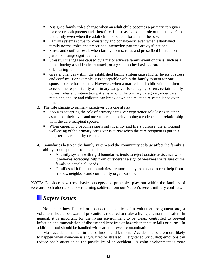- Assigned family roles change when an adult child becomes a primary caregiver for one or both parents and, therefore, is also assigned the role of the "mover" in the family even when the adult child is not comfortable in the role.
- Family systems strive for constancy and consistency, even when established family norms, roles and prescribed interaction patterns are dysfunctional.
- Stress and conflict result when family norms, roles and prescribed interaction patterns change significantly.
- Stressful changes are caused by a major adverse family event or crisis, such as a father having a sudden heart attack, or a grandmother having a stroke or debilitating fall.
- Greater changes within the established family system cause higher levels of stress and conflict. For example, it is acceptable within the family system for one spouse to care for another. However, when a married adult child with children accepts the responsibility as primary caregiver for an aging parent, certain family norms, roles and interaction patterns among the primary caregiver, older care recipient, spouse and children can break down and must be re-established over time.
- 3. The role change to primary caregiver puts one at risk.
	- Spouses accepting the role of primary caregiver experience role losses in other aspects of their lives and are vulnerable to developing a codependent relationship with the care recipient spouse.
	- When caregiving becomes one's only identity and life's purpose, the emotional well-being of the primary caregiver is at risk when the care recipient is put in a long-term care facility or dies.
- 4. Boundaries between the family system and the community at large affect the family's ability to accept help from outsiders.
	- A family system with rigid boundaries tends to reject outside assistance when it believes accepting help from outsiders is a sign of weakness or failure of the family to handle all needs.
	- Families with flexible boundaries are more likely to ask and accept help from friends, neighbors and community organizations.

NOTE: Consider how these basic concepts and principles play out within the families of veterans, both older and those returning soldiers from our Nation's recent military conflicts.

# *Safety Issues*

No matter how limited or extended the duties of a volunteer assignment are, a volunteer should be aware of precautions required to make a living environment safer. In general, it is important for the living environment to be clean, controlled to prevent infection and transmission of disease and kept free of hazards that cause falls or burns. In addition, food should be handled with care to prevent contamination.

Most accidents happen in the bathroom and kitchen. Accidents also are more likely to happen when someone is angry, tired or stressed. Heightened (or dulled) emotions can reduce one's attention to the possibility of an accident. A calm environment is more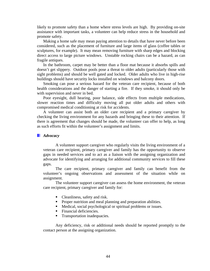likely to promote safety than a home where stress levels are high. By providing on-site assistance with important tasks, a volunteer can help reduce stress in the household and promote safety.

Making a home safe may mean paying attention to details that have never before been considered, such as the placement of furniture and large items of glass (coffee tables or sculptures, for example). It may mean removing furniture with sharp edges and blocking direct access to large picture windows. Unstable rocking chairs can be a hazard, as can fragile antiques.

In the bathroom, carpet may be better than a floor mat because it absorbs spills and doesn't get slippery. Outdoor pools pose a threat to older adults (particularly those with sight problems) and should be well gated and locked. Older adults who live in high-rise buildings should have security locks installed on windows and balcony doors.

Smoking can pose a serious hazard for the veteran care recipient, because of both health considerations and the danger of starting a fire. If they smoke, it should only be with supervision and never in bed.

Poor eyesight, dull hearing, poor balance, side effects from multiple medications, slower reaction times and difficulty moving all put older adults and others with compromised medical conditioning at risk for accidents.

A volunteer can assist both an older care recipient and a primary caregiver by checking the living environment for any hazards and bringing these to their attention. If there is agreement that changes should be made, the volunteer can offer to help, as long as such efforts fit within the volunteer's assignment and limits.

### *Advocacy*

A volunteer support caregiver who regularly visits the living environment of a veteran care recipient, primary caregiver and family has the opportunity to observe gaps in needed services and to act as a liaison with the assigning organization and advocate for identifying and arranging for additional community services to fill these gaps.

 The care recipient, primary caregiver and family can benefit from the volunteer's ongoing observations and assessment of the situation while on assignment.

 The volunteer support caregiver can assess the home environment, the veteran care recipient, primary caregiver and family for:

- Cleanliness, safety and risk.
- **Proper nutrition and meal planning and preparation abilities.**
- Medical, social psychological or spiritual problems or issues.
- Financial deficiencies.
- Transportation inadequacies.

 Any deficiency, risk or additional needs should be reported promptly to the contact person at the assigning organization.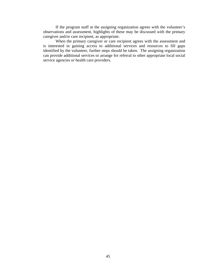If the program staff at the assigning organization agrees with the volunteer's observations and assessment, highlights of these may be discussed with the primary caregiver and/or care recipient, as appropriate.

When the primary caregiver or care recipient agrees with the assessment and is interested in gaining access to additional services and resources to fill gaps identified by the volunteer, further steps should be taken. The assigning organization can provide additional services or arrange for referral to other appropriate local social service agencies or health care providers.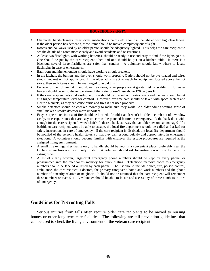### **HOUSEHOLD SAFETY**

- Chemicals, harsh cleaners, insecticides, medications, paints, etc. should all be labeled with big, clear letters. If the older person has dementia, these items should be moved completely out of sight.
- Rooms and hallways used by an older person should be adequately lighted. This helps the care recipient to see the details of a room more clearly and avoid accidents and obstructions.
- At least two flashlights, with working batteries, should be ready to use and easy to find if the lights go out. One should be put by the care recipient's bed and one should be put on a kitchen table. If there is a blackout, several large flashlights are safer than candles. A volunteer should know where to locate flashlights in case of emergencies.
- Bathroom and kitchen outlets should have working circuit breakers.
- In the kitchen, the burners and the oven should work properly. Outlets should not be overloaded and wires should not rest on hot appliances. If the older adult is apt to reach for equipment located above the hot stove, then such items should be rearranged to avoid this.
- Because of their thinner skin and slower reactions, older people are at greater risk of scalding. Hot water heaters should be set so the temperature of the water doesn't rise above 120 degrees F.
- If the care recipient gets cold easily, he or she should be dressed with extra layers and the heat should be set at a higher temperature level for comfort. However, extreme care should be taken with space heaters and electric blankets, as they can cause burns and fires if not used properly.
- Smoke detectors should be checked monthly to make sure they work. An older adult's waning sense of smell makes a smoke detector more important.
- Easy escape routes in case of fire should be located. An older adult won't be able to climb out of a window easily, so escape routes that are easy to se must be planned before an emergency. Is the back door wide enough for the care recipient's wheelchair? Is there a back stairway that an older person can manage? If a bedridden care recipient won't be able to escape, the local fire department should be called and asked for safety instructions in care of emergency. If the care recipient is disabled, the local fire department should be notified of the person's health status, so that they can respond quickly and appropriately in emergency situations. A volunteer should become familiar with whatever fire escape procedures are required at the assigned living environment.
- A small fire extinguisher that is easy to handle should be kept in a convenient place, preferably near the kitchen where fires are most likely to start. A volunteer should ask for instruction on how to use a fire extinguisher.
- A list of clearly written, large-print emergency phone numbers should be kept by every phone, or programmed into the telephone's memory for quick dialing. Telephone memory codes to emergency numbers should be labeled or listed by each phone. The list should include police, fire, poison control, ambulance, the care recipient's doctors, the primary caregiver's home and work numbers and the phone number of a nearby relative or neighbor. It should not be assumed that the care recipient will remember these numbers or even 911. A volunteer should be able to locate and access any of these numbers in care of emergency.

# **Guidelines for Preventing Falls**

Serious injuries from falls often require older care recipients to be moved to nursing homes or other long-term care facilities. The following are fall-prevention guidelines that can be used to check the living environment of the veteran care recipient.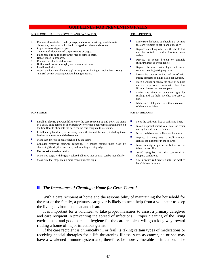### **GUIDELINES FOR PREVENTING FALLS**

#### FOR FLOORS, HALL, DOORWAYS AND PATHWAYS:

- Remove all obstacles to safe passage, such as trash, wiring, wastebaskets, footstools, magazine racks, books, magazines, shoes and clothes.
- Repair worn or ripped carpets.
- Tape or tack down curled carpet corners or edges.
- Place non-skid pads under throw rugs or remove them.
- Repair loose floorboards.
- Remove thresholds at doorways.
- Buff waxed floors thoroughly and use nonskid wax.
- Install handrails.
- Adjust the location of hanging plants to prevent having to duck when passing, and still permit watering without having to reach.

#### FOR BEDROOMS:

- Make sure the bed is at a height that permits the care recipient to get in and out easily.
- Replace unlocking wheels with wheels that can be locked to make furniture more stable.
- Replace or repair broken or unstable furniture, such as tripod tables.
- Replace furniture with legs that curve outward creating a tripping hazard.
- Use chairs easy to get into and out of, with strong armrests and high backs for support.
- Keep a walker or can by the chair or acquire an electric-powered pneumatic chair that lifts and lowers the care recipient.
- Make sure there is adequate light for reading and the light switches are easy to use.
- Make sure a telephone is within easy reach of the care recipient.

#### FOR BATHROOMS:

- Keep the bathroom free of spills and litter.
- Install a special raised toilet seat for easier use by the older care recipient.
- Install grab bars near toilets and bath tubs.
- Replace bar soap with a wall-mounted, liquid soap dispenser in the shower.
- tub or shower floor.
- slippery conditions.
- Use a secure rod screwed into the wall to hang shower curtains.

### *The Importance of Cleaning a Home for Germ Control*

With a care recipient at home and the responsibility of maintaining the household for the rest of the family, a primary caregiver is likely to need help from a volunteer to keep the living environment neat and clean.

It is important for a volunteer to take proper measures to assist a primary caregiver and care recipient in preventing the spread of infections. Proper cleaning of the living environment and good personal hygiene for the care recipient will go a long way toward ridding a home of major infectious germs.

If the care recipient is chronically ill or frail, is taking certain types of medications or receiving special therapies for a life-threatening illness, such as cancer, he or she may have a weakened immune system and, therefore, be more vulnerable to infection. The

# FOR STAIRS:

- Install an electric-powered lift to carry the care recipient up and down the stairs in a chair, build ramps on short stairways or create a bedroom/bathroom suite on the first floor to eliminate the need for the care recipient to use stairs.
- Install sturdy handrails, as necessary, on both sides of the stairs, including those leading to entrances and the basement.
- Make sure there is adequate lighting by the stairs.
- **E** Consider removing stairway carpeting. It makes footing more risky by shortening the depth of each step and rounding off step edges.
- Use non-skid treads on stairs.
- $\blacksquare$  Mark step edges with brightly colored adhesive tape so each can be seen clearly.
- Make sure that steps are no more than six inches high.

Install nonslip strips on the bottom of the

# Avoid using bath oils that can result in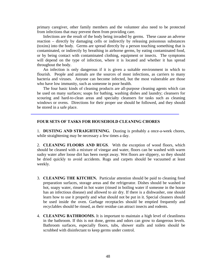primary caregiver, other family members and the volunteer also need to be protected from infections that may prevent them from providing care.

Infections are the result of the body being invaded by germs. These cause an adverse reaction – directly by damaging cells or indirectly by releasing poisonous substances (toxins) into the body. Germs are spread directly by a person touching something that is contaminated, or indirectly by breathing in airborne germs, by eating contaminated food, or by being contact with contaminated clothing, equipment or insects. The symptoms will depend on the type of infection, where it is located and whether it has spread throughout the body.

An infection is only dangerous if it is given a suitable environment in which to flourish. People and animals are the sources of most infections, as carriers to many bacteria and viruses. Anyone can become infected, but the most vulnerable are those who have low immunity, such as someone in poor health.

The four basic kinds of cleaning products are all-purpose cleaning agents which can be used on many surfaces; soaps for bathing, washing dishes and laundry; cleansers for scouring and hard-to-clean areas and specialty cleansers for tasks such as cleaning windows or ovens. Directions for their proper use should be followed, and they should be stored in a safe place.

## **FOUR SETS OF TASKS FOR HOUSEHOLD CLEANING CHORES**

1. **DUSTING AND STRAIGHTENING.** Dusting is probably a once-a-week chores, while straightening may be necessary a few times a day.

2. **CLEANING FLOORS AND RUGS**. With the exception of wood floors, which should be cleaned with a mixture of vinegar and water, floors can be washed with warm sudsy water after loose dirt has been swept away. Wet floors are slippery, so they should be dried quickly to avoid accidents. Rugs and carpets should be vacuumed at least weekly.

- 3. **CLEANING THE KITCHEN.** Particular attention should be paid to cleaning food preparation surfaces, storage areas and the refrigerator. Dishes should be washed in hot, soapy water, rinsed in hot water (rinsed in boiling water if someone in the house has an infectious disease) and allowed to air dry. If there is a dishwasher, one should learn how to use it properly and what should not be put in it. Special cleaners should be used inside the oven. Garbage receptacles should be emptied frequently and recyclables should be rinsed, as their residue can attract insects and rodents.
- 4. **CLEANING BATHROOMS.** It is important to maintain a high level of cleanliness in the bathroom. If this is not done, germs and odors can grow to dangerous levels. Bathroom surfaces, especially floors, tubs, shower stalls and toilets should be scrubbed with disinfectant to keep germs under control.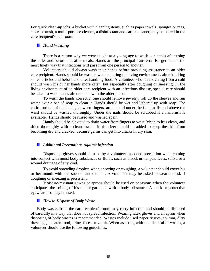For quick clean-up jobs, a bucket with cleaning items, such as paper towels, sponges or rags, a scrub brush, a multi-purpose cleaner, a disinfectant and carpet cleaner, may be stored in the care recipient's bathroom.

### *Hand Washing*

There is a reason why we were taught at a young age to wash our hands after using the toilet and before and after meals. Hands are the principal transferral for germs and the most likely way that infections will pass from one person to another.

Volunteers should always wash their hands before providing assistance to an older care recipient. Hands should be washed when entering the living environment, after handling soiled articles and before and after handling food. A volunteer who is recovering from a cold should wash his or her hands more often, but especially after coughing or sneezing. In the living environment of an older care recipient with an infectious disease, special care should be taken to wash hands after contact with the older person.

To wash the hands correctly, one should remove jewelry, roll up the sleeves and run water over a bar of soap to clean it. Hands should be wet and lathered up with soap. The entire surface of the hands, between fingers, around and under the fingernails and above the wrist should be washed thoroughly. Under the nails should be scrubbed if a nailbrush is available. Hands should be rinsed and washed again.

Hands should be elevated to drain water from fingers to wrist (clean to less clean) and dried thoroughly with a clean towel. Moisturizer should be added to keep the skin from becoming dry and cracked, because germs can get into cracks in dry skin.

## *Additional Precautions Against Infection*

Disposable gloves should be used by a volunteer as added precaution when coming into contact with moist body substances or fluids, such as blood, urine, pus, feces, saliva or a wound drainage of any kind.

 To avoid spreading droplets when sneezing or coughing, a volunteer should cover his or her mouth with a tissue or handkerchief. A volunteer may be asked to wear a mask if coughing or sneezing is persistent.

 Moisture-resistant gowns or aprons should be used on occasions when the volunteer anticipates the soiling of his or her garments with a body substance. A mask or protective eyewear also may be used.

### *How to Dispose of Body Waste*

Body wastes from the care recipient's room may carry infection and should be disposed of carefully in a way that does not spread infection. Wearing latex gloves and an apron when disposing of body wastes is recommended. Wastes include used paper tissues, sputum, dirty dressings, uneaten food, urine, feces or vomit. When assisting with the disposal of wastes, a volunteer should use the following guidelines: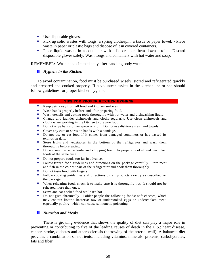- Use disposable gloves.
- **Pick up solid wastes with tongs, a spring clothespin, a tissue or paper towel.** Place waste in paper or plastic bags and dispose of it in covered containers.
- Place liquid wastes in a container with a lid or pour them down a toilet. Discard disposable gloves safely. Wash tongs and containers with hot water and soap.

REMEMBER: Wash hands immediately after handling body waste.

# *Hygiene in the Kitchen*

 To avoid contamination, food must be purchased wisely, stored and refrigerated quickly and prepared and cooked properly. If a volunteer assists in the kitchen, he or she should follow guidelines for proper kitchen hygiene.

### **TIPS FOR PROPER KITCHEN HYGIENE**

- Keep pets away from all food and kitchen surfaces.
- Wash hands properly before and after preparing food.
- Wash utensils and cutting tools thoroughly with hot water and dishwashing liquid.<br>■ Change and launder dishtowels and cloths regularly. Use clean dishtowels and
- Change and launder dishtowels and cloths regularly. Use clean dishtowels and cloths when working in the kitchen to prepare food.
- Do not wipe hands on an apron or cloth. Do not use dishtowels as hand towels.
- Cover any cuts or sores on hands with a bandage.<br>■ Do not use or eat food if it comes from dama
- Do not use or eat food if it comes from damaged containers or has passed its expiration date.
- Store fruits and vegetables in the bottom of the refrigerator and wash them thoroughly before eating.
- Do not use the same knife and chopping board to prepare cooked and uncooked foods at the same time.
- Do not prepare foods too far in advance.
- **Follow frozen food guidelines and directions on the package carefully. Store meat** and fish in the coldest part of the refrigerator and cook them thoroughly.
- Do not taste food with fingers.
- Follow cooking guidelines and directions on all products exactly as described on the package.
- When reheating food, check it to make sure it is thoroughly hot. It should not be reheated more than once.
- Serve and eat cooked food while it's hot.
- Do not give chronically ill older people the following foods: soft cheeses, which may contain listeria bacteria; raw or undercooked eggs or undercooked meat, especially poultry, which can cause salmonella poisoning.

## *Nutrition and Meals*

There is growing evidence that shows the quality of diet can play a major role in preventing or contributing to five of the leading causes of death in the U.S.: heart disease, cancer, stroke, diabetes and atherosclerosis (narrowing of the arterial wall). A balanced diet provides a combination of nutrients, including vitamins, minerals, proteins, carbohydrates, fats and fiber.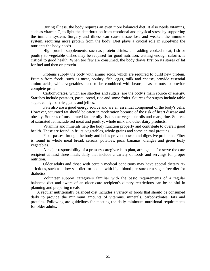During illness, the body requires an even more balanced diet. It also needs vitamins, such as vitamin C, to fight the deterioration from emotional and physical stress by supporting the immune system. Surgery and illness can cause tissue loss and weaken the immune system, requiring more protein from the body. Diet plays a crucial role in supplying the nutrients the body needs.

High-protein supplements, such as protein drinks, and adding cooked meat, fish or poultry to vegetable dishes may be required for good nutrition. Getting enough calories is critical to good health. When too few are consumed, the body draws first on its stores of fat for fuel and then on protein.

Proteins supply the body with amino acids, which are required to build new protein. Protein from foods, such as meat, poultry, fish, eggs, milk and cheese, provide essential amino acids, while vegetables need to be combined with beans, peas or nuts to provide complete protein.

Carbohydrates, which are starches and sugars, are the body's main source of energy. Starches include potatoes, pasta, bread, rice and some fruits. Sources for sugars include table sugar, candy, pastries, jams and jellies.

Fats also are a good energy source and are an essential component of the body's cells. However, saturated fat should be eaten in moderation because of the risk of heart disease and obesity. Sources of unsaturated fat are oily fish, some vegetable oils and margarine. Sources of saturated fat include red meat and poultry, whole milk and other dairy products.

Vitamins and minerals help the body function properly and contribute to overall good health. These are found in fruits, vegetables, whole grains and some animal proteins.

Fiber passes through the body and helps prevent bowel and digestive problems. Fiber is found in whole meal bread, cereals, potatoes, peas, bananas, oranges and green leafy vegetables.

A major responsibility of a primary caregiver is to plan, arrange and/or serve the care recipient at least three meals daily that include a variety of foods and servings for proper nutrition.

Older adults and those with certain medical conditions may have special dietary restrictions, such as a low salt diet for people with high blood pressure or a sugar-free diet for diabetics.

Volunteer support caregivers familiar with the basic requirements of a regular balanced diet and aware of an older care recipient's dietary restrictions can be helpful in planning and preparing meals.

A regular nutritionally balanced diet includes a variety of foods that should be consumed daily to provide the minimum amounts of vitamins, minerals, carbohydrates, fats and proteins. Following are guidelines for meeting the daily minimum nutritional requirements for older adults.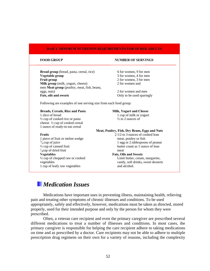### **DAILY MINIMUM NUTRITION REQUIREMENTS FOR OLDER ADULTS**

**Bread group** (bread, pasta, cereal, rice) 6 for women, 9 for men **Vegetable group** 3 for women, 4 for men **Fruit group** 2 for women, 3 for men **Milk group** (milk, yogurt, cheese) 2 for women and men **Meat group** (poultry, meat, fish, beans, eggs, nuts) 2 for women and men **Fats, oils and sweets** Only to be used sparingly

### **FOOD GROUP SERVINGS**

Following are examples of one serving size from each food group:

### Breads, Cereals, Rice and Pasta **Milk, Yogurt and Cheese**

1 slice of bread 1 cup of milk or yogurt  $\frac{1}{2}$  cup of cooked rice or pasta  $\frac{1}{2}$  to 2 ounces of cheese ½ cup of cooked cereal 1 ounce of ready-to-eat cereal

#### **Meat, Poultry, Fish, Dry Beans, Eggs and Nuts**

1 piece of fruit or melon wedge meat, poultry or fish  $\frac{3}{4}$  cup of juice 1 egg or 2 tablespoor  $\frac{3}{4}$  cup of juice 1 egg or 2 tablespoons of peanut  $\frac{1}{2}$  cup of canned fruit  $\frac{1}{4}$ cup of dried fruit meat **Vegetables Fats, Oils and Sweets**  <sup>1/2</sup> cup of chopped raw or cooked Limit butter, cream, margarine, vegetables candy, soft drinks, sweet desserts 1 cup of leafy raw vegetables and alcohol.

**Fruits Properties 2** 1/2 to 3 ounces of cooked lean butter count as 1 ounce of lean

# *Medication Issues*

Medications have important uses in preventing illness, maintaining health, relieving pain and treating other symptoms of chronic illnesses and conditions. To be used appropriately, safely and effectively, however, medications must be taken as directed, stored properly, used for their intended purpose and only by the person for whom they were prescribed.

Often, a veteran care recipient and even the primary caregiver are prescribed several different medications to treat a number of illnesses and conditions. In most cases, the primary caregiver is responsible for helping the care recipient adhere to taking medications on time and as prescribed by a doctor. Care recipients may not be able to adhere to multiple prescription drug regimens on their own for a variety of reasons, including the complexity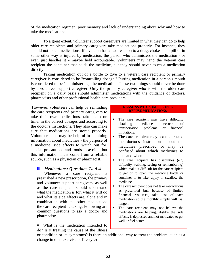of the medication regimen, poor memory and lack of understanding about why and how to take the medications.

To a great extent, volunteer support caregivers are limited in what they can do to help older care recipients and primary caregivers take medications properly. For instance, they should not touch medications. If a veteran has a bad reaction to a drug, chokes on a pill or in some other way is injured by medication, the person who administers the medication - or even just handles it - maybe held accountable. Volunteers may hand the veteran care recipient the container that holds the medicine, but they should never touch a medication directly.

Taking medication out of a bottle to give to a veteran care recipient or primary caregiver is considered to be "controlling dosage." Putting medication in a person's mouth is considered to be "administering" the medication. These two things should never be done by a volunteer support caregiver. Only the primary caregiver who is with the older care recipient on a daily basis should administer medications with the guidance of doctors, pharmacists and other professional health care providers.

 However, volunteers can help by reminding the care recipients and primary caregivers to take their own medications, take them on time, in the correct dosages and according to the doctor's instructions. They also can make sure that medications are stored properly. Volunteers also may be helpful in obtaining information about medicines - the purpose of a medicine, side effects to watch out for, special precautions and foods to avoid - but this information must come from a reliable source, such as a physician or pharmacist.

## *Medications: Questions To Ask*

 Whenever a care recipient is prescribed a new prescription, the primary and volunteer support caregivers, as well as the care recipient should understand what the medication is for, what it will do and what its side effects are, alone and in combination with the other medications the care recipient is taking. Following are common questions to ask a doctor and pharmacist:

■ What is the medication intended to do? Is it treating the cause of the illness

### **REASONS WHY SOME PEOPLE REFUSE MEDICATIONS**

- The care recipient may have difficulty obtaining medicines because of transportation problems or financial limitations.
- The care recipient may not understand the doctor's instructions about the medicines prescribed or may be confused about which medicines to take and when.
- The care recipient has disabilities (e.g. difficulty walking, seeing or remembering) which make it difficult for the care recipient to get or to open the medicine bottle or container or to take, apply or swallow the medicine.
- The care recipient does not take medications as prescribed but, because of limited financial resources, take less of each medication so the monthly supply will last longer.
- The care recipient may not believe the medications are helping, dislike the side effects, is depressed and not motivated to get well or feel better.

or condition or its symptoms? Is there an additional way to treat the problem, such as a change in diet, exercise or lifestyle?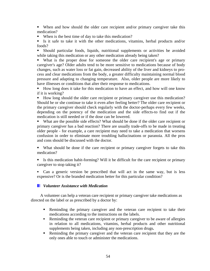When and how should the older care recipient and/or primary caregiver take this medication?

■ When is the best time of day to take this medication?

 Is it safe to take it with the other medications, vitamins, herbal products and/or foods?

 Should particular foods, liquids, nutritional supplements or activities be avoided while taking this medication or any other medication already being taken?

 What is the proper dose for someone the older care recipient's age or primary caregiver's age? Older adults tend to be more sensitive to medications because of body changes, such as water loss or fat gain, decreased ability of the liver and kidneys to process and clear medications from the body, a greater difficulty maintaining normal blood pressure and adapting to changing temperature. Also, older people are more likely to have illnesses or conditions that alter their response to medications.

 How long does it take for this medication to have an effect, and how will one know if it is working?

How long should the older care recipient or primary caregiver use this medication? Should he or she continue to take it even after feeling better? The older care recipient or the primary caregiver should check regularly with the doctor-perhaps every few weeks, depending on the potency of the medication and the side effects-to find out if the medication is still needed or if the dose can be lowered.

 What are the possible side effects? What should be done if the older care recipient or primary caregiver has a bad reaction? There are usually trade-offs to be made in treating older people - for example, a care recipient may need to take a medication that worsens confusion in order to eliminate more troubling hallucinations or paranoia. All the pros and cons should be discussed with the doctor.

- What should be done if the care recipient or primary caregiver forgets to take this medication?
- Is this medication habit-forming? Will it be difficult for the care recipient or primary caregiver to stop taking it?
- Can a generic version be prescribed that will act in the same way, but is less expensive? Or is the branded medication better for this particular condition?

# *Volunteer Assistance with Medication*

A volunteer can help a veteran care recipient or primary caregiver take medications as directed on the label or as prescribed by a doctor by:

- **Reminding the primary caregiver and the veteran care recipient to take their** medications according to the instructions on the labels.
- Reminding the veteran care recipient or primary caregiver to be aware of allergies in relation to all medications, vitamins, herbal products and other nutritional supplements being taken, including any non-prescription drugs**.**
- Reminding the primary caregiver and the veteran care recipient that they are the only ones able to touch or administer the medications.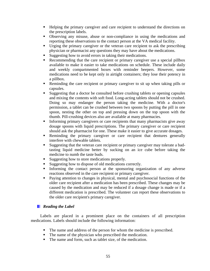- Helping the primary caregiver and care recipient to understand the directions on the prescription labels.
- Observing any misuse, abuse or non-compliance in using the medications and reporting these observations to the contact person at the VA medical facility.
- Urging the primary caregiver or the veteran care recipient to ask the prescribing physician or pharmacist any questions they may have about the medications.
- Suggesting how to avoid errors in taking their medications.
- Recommending that the care recipient or primary caregiver use a special pillbox available to make it easier to take medications on schedule. These include daily and weekly compartmented boxes with reminder beepers. However, some medications need to be kept only in airtight containers; they lose their potency in a pillbox.
- Reminding the care recipient or primary caregiver to sit up when taking pills or capsules.
- Suggesting that a doctor be consulted before crushing tablets or opening capsules and mixing the contents with soft food. Long-acting tablets should not be crushed. Doing so may endanger the person taking the medicine. With a doctor's permission, a tablet can be crushed between two spoons by putting the pill in one spoon, nesting the other on top and pressing down on the top spoon with the thumb. Pill-crushing devices also are available at many pharmacies.
- Informing primary caregivers or care recipients that many pharmacists give away dosage spoons with liquid prescriptions. The primary caregiver or care recipient should ask the pharmacist for one. These make it easier to give accurate dosages.
- Reminding the primary caregiver or care recipient that dentures generally interfere with chewable tablets.
- Suggesting that the veteran care recipient or primary caregiver may tolerate a badtasting liquid medicine better by sucking on an ice cube before taking the medicine to numb the taste buds.
- Suggesting how to store medications properly.
- Suggesting how to dispose of old medications correctly.
- Informing the contact person at the sponsoring organization of any adverse reactions observed in the care recipient or primary caregiver.
- **Paying attention to changes in physical, mental and psychosocial functions of the** older care recipient after a medication has been prescribed. These changes may be caused by the medication and may be reduced if a dosage change is made or if a different medication is prescribed. The volunteer can report these observations to the older care recipient's primary caregiver.

# *Reading the Label*

Labels are placed in a prominent place on the containers of all prescription medications. Labels should include the following information:

- The name and address of the person for whom the medicine is prescribed.
- The name of the physician who prescribed the medication.
- The name and form, such as tablet size, of the medication.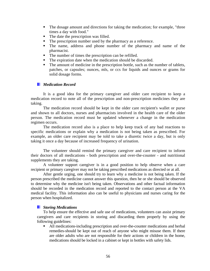- The dosage amount and directions for taking the medication; for example, "three times a day with food."
- The date the prescription was filled.
- The prescription number used by the pharmacy as a reference.
- The name, address and phone number of the pharmacy and name of the pharmacist.
- The number of times the prescription can be refilled.
- The expiration date when the medication should be discarded.
- The amount of medicine in the prescription bottle, such as the number of tablets, patches, or capsules; ounces, mls, or ccs for liquids and ounces or grams for solid dosage forms.

# *Medication Record*

It is a good idea for the primary caregiver and older care recipient to keep a medication record to note all of the prescription and non-prescription medicines they are taking.

The medication record should be kept in the older care recipient's wallet or purse and shown to all doctors, nurses and pharmacists involved in the health care of the older person. The medication record must be updated whenever a change in the medication regimen occurs.

The medication record also is a place to help keep track of any bad reactions to specific medications or explain why a medication is not being taken as prescribed. For example, an older care recipient may be told to take a diuretic twice a day, but is only taking it once a day because of increased frequency of urination.

The volunteer should remind the primary caregiver and care recipient to inform their doctors of all medications - both prescription and over-the-counter - and nutritional supplements they are taking.

A volunteer support caregiver is in a good position to help observe when a care recipient or primary caregiver may not be taking prescribed medications as directed or at all.

After gentle urging, one should try to learn why a medicine is not being taken. If the person prescribed the medicine cannot answer this question, then he or she should be observed to determine why the medicine isn't being taken. Observations and other factual information should be recorded in the medication record and reported to the contact person at the VA medical facility. This information also can be useful to physicians and nurses caring for the person when hospitalized.

# *Storing Medications*

To help ensure the effective and safe use of medications, volunteers can assist primary caregivers and care recipients in storing and discarding them properly by using the following guidelines:

 All medications-including prescription and over-the-counter medications and herbal remedies-should be kept out of reach of anyone who might misuse them. If there are older adults who are not responsible for their actions or children in the home, medications should be locked in a cabinet or kept in bottles with safety lids.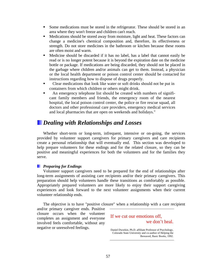- Some medications must be stored in the refrigerator. These should be stored in an area where they won't freeze and children can't reach.
- Medications should be stored away from moisture, light and heat. These factors can change a medicine's chemical composition and, therefore, its effectiveness or strength. Do not store medicines in the bathroom or kitchen because these rooms are often moist and warm.
- Medicine should be discarded if it has no label, has a label that cannot easily be read or is no longer potent because it is beyond the expiration date on the medicine bottle or package. If medications are being discarded, they should not be placed in the garbage where children and/or animals can get to them. Instead, a physician or the local health department or poison control center should be contacted for instructions regarding how to dispose of drugs properly.
- Clear medications that look like water or soft drinks should not be put in containers from which children or others might drink.
- An emergency telephone list should be created with numbers of significant family members and friends, the emergency room of the nearest hospital, the local poison control center, the police or fire rescue squad, all doctors and other professional care providers, emergency medical services and local pharmacies that are open on weekends and holidays."

# *Dealing with Relationships and Losses*

Whether short-term or long-term, infrequent, intensive or on-going, the services provided by volunteer support caregivers for primary caregivers and care recipients create a personal relationship that will eventually end. This section was developed to help prepare volunteers for these endings and for the related closure, so they can be positive and meaningful experiences for both the volunteers and for the families they serve.

## *Preparing for Endings*

Volunteer support caregivers need to be prepared for the end of relationships after long-term assignments of assisting care recipients and/or their primary caregivers. This preparation should help volunteers handle these transitions as comfortably as possible. Appropriately prepared volunteers are more likely to enjoy their support caregiving experiences and look forward to the next volunteer assignments when their current volunteer relationship ends.

The objective is to have "positive closure" when a relationship with a care recipient

and/or primary caregiver ends. Positive closure occurs when the volunteer completes an assignment and everyone involved feels comfortable, without any negative or unresolved feelings.

# If we cut our emotions off, we don't heal.

Daniel Dworkin, Ph.D. affiliate Professor of Psychology, Colorado State University and co-author of Helping the Bereaved, Basic Books, 1992.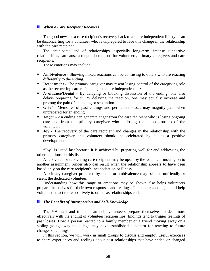## *When a Care Recipient Recovers*

The good news of a care recipient's recovery back to a more independent lifestyle can be disconcerting for a volunteer who is unprepared to face this change in the relationship with the care recipient.

The anticipated end of relationships, especially long-term, intense supportive relationships, can cause a range of emotions for volunteers, primary caregivers and care recipients.

These emotions may include:

- **Ambivalence** Showing mixed reactions can be confusing to others who are reacting differently to the ending.
- **Resentment** The primary caregiver may resent losing control of the caregiving role as the recovering care recipient gains more independence. •
- **Avoidance/Denial** By delaying or blocking discussion of the ending, one also delays preparing for it. By delaying the reaction, one may actually increase and prolong the pain of an ending or separation.
- **Grief** Memories of past endings and permanent losses may magnify pain when unprepared for an ending.
- **Anger** An ending can generate anger from the care recipient who is losing ongoing care and from the primary caregiver who is losing the companionship of the volunteer.
- **Joy** The recovery of the care recipient and changes in the relationship with the primary caregiver and volunteer should be celebrated by all as a positive development.

"Joy" is listed last because it is achieved by preparing well for and addressing the other emotions on this list.

A recovered or recovering care recipient may be upset by the volunteer moving on to another assignment. Anger also can result when the relationship appears to have been based only on the care recipient's incapacitation or illness.

A primary caregiver protected by denial or ambivalence may become unfriendly or resent the dedicated volunteer.

Understanding how this range of emotions may be shown also helps volunteers prepare themselves for their own responses and feelings. This understanding should help volunteers react more positively to others as relationships end.

# *The Benefits of Introspection and Self-Knowledge*

The VA staff and trainers can help volunteers prepare themselves to deal more effectively with the ending of volunteer relationships. Endings tend to trigger feelings of past losses. How a person reacted to a family member or a friend moving away or a sibling going away to college may have established a pattern for reacting to future changes or endings.

In this section, we will work in small groups to discuss and employ useful exercises to share experiences and feelings about past relationships that have ended or changed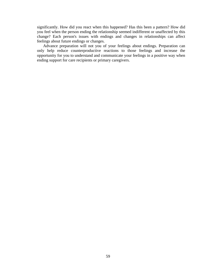significantly. How did you react when this happened? Has this been a pattern? How did you feel when the person ending the relationship seemed indifferent or unaffected by this change? Each person's issues with endings and changes in relationships can affect feelings about future endings or changes.

Advance preparation will not you of your feelings about endings. Preparation can only help reduce counterproductive reactions to those feelings and increase the opportunity for you to understand and communicate your feelings in a positive way when ending support for care recipients or primary caregivers.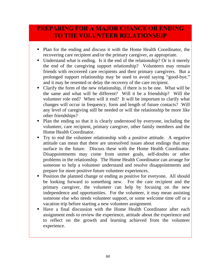# **PREPARING FOR A MAJOR CHANGE OR ENDING TO THE VOLUNTEER RELATIONSHIP**

- Plan for the ending and discuss it with the Home Health Coordinator, the recovering care recipient and/or the primary caregiver, as appropriate.
- Understand what is ending. Is it the end of the relationship? Or is it merely the end of the caregiving support relationship? Volunteers may remain friends with recovered care recipients and their primary caregivers. But a prolonged support relationship may be used to avoid saying "good-bye," and it may be resented or delay the recovery of the care recipient.
- Clarify the form of the new relationship, if there is to be one. What will be the same and what will be different? Will it be a friendship? Will the volunteer role end? When will it end? It will be important to clarify what changes will occur in frequency, form and length of future contacts? Will any level of caregiving still be needed or will the relationship be more like other friendships?
- Plan the ending so that it is clearly understood by everyone, including the volunteer, care recipient, primary caregiver, other family members and the Home Health Coordinator.
- Try to end the volunteer relationship with a positive attitude. A negative attitude can mean that there are unresolved issues about endings that may surface in the future. Discuss these with the Home Health Coordinator. Disappointments may come from unmet goals, self-doubts or other problems in the relationship. The Home Health Coordinator can arrange for someone to help a volunteer understand and resolve disappointments and prepare for more positive future volunteer experiences.
- Position the planned change or ending as positive for everyone. All should be looking forward to something new. For the care recipient and the primary caregiver, the volunteer can help by focusing on the new independence and opportunities. For the volunteer, it may mean assisting someone else who needs volunteer support, or some welcome time off or a vacation trip before starting a new volunteer assignment.
- Have a final discussion with the Home Health Coordinator after each assignment ends to review the experience, attitude about the experience and to reflect on the growth and learning achieved from the volunteer experience.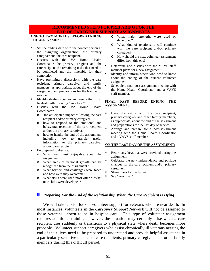# **RECOMMENDED STEPS FOR PREPARING FOR THE END OF CAREGIVER SUPPORT ASSIGNMENTS**

### **ONE TO TWO MONTHS BEFORED ENDING THE ASSIGNMENT:**

- Set the ending date with the contact person at the assigning organization, the primary caregiver and the care recipient.
- Discuss with the VA Home Health Coordinator, the primary caregiver and the care recipient the remaining tasks that need to be completed and the timetable for their completion.
- Have preliminary discussions with the care recipient, primary caregiver and family members, as appropriate, about the end of the assignment and preparations for the last day of service.
- Identify dealings, issues and needs that must be dealt with in saying "goodbye."
- Discuss with the VA Home Health Coordinator:
	- o the anticipated impact of leaving the care recipient and/or primary caregiver.
	- o how to respond to the emotional and behavioral reactions of the care recipient and/or the primary caregiver.
	- o how to handle the end of the assignment, including how to transfer useful information to the primary caregiver and/or care recipient.
- Be prepared to discuss:
	- o What was most enjoyable about the assignment?
	- o What areas of personal growth can be recognized from the assignment?
	- o What barriers and challenges were faced and how were they overcome?
	- o What skills were used most often? What new skills were developed?
- o What major strengths were used or developed?
- o What kind of relationship will continue with the care recipient and/or primary caregiver?
- o How should the next volunteer assignment differ from this one?
- Determine and discuss with the VAVS staff member plans for a new assignment.
- Identify and inform others who need to know about the ending of the current volunteer assignment.
- Schedule a final post-assignment meeting with the Home Health Coordinator and a VAVS staff member.

### **FINAL DAYS BEFORE ENDING THE ASSIGNMENT:**

- Have discussions with the care recipient, primary caregiver and other family members, as appropriate, about the end of the assignment and preparations for the last day of service.
- Arrange and prepare for a post-assignment meeting with the Home Health Coordinator and a VAVS staff member.

### **ON THE LAST DAY OF THE ASSIGNMENT:**

- Return any keys that were provided during the assignment.
- Celebrate the new independence and positive changes for the care recipient and/or primary caregiver.
- Share plans for the future.
- Say "goodbye."

# *Preparing For the End of the Relationship When the Care Recipient is Dying*

We will take a brief look at volunteer support for veterans who are near death. In most instances, volunteers in the *Caregiver Support Network* will not be assigned to those veterans known to be in hospice care. This type of volunteer assignment requires additional training, however, the situation may certainly arise when a care recipient dies suddenly or transitions to a physical state where death becomes more probable. Volunteer support caregivers who assist chronically ill veterans nearing the end of their lives need to be prepared to understand and provide helpful assistance in a particularly sensitive manner to care recipients, primary caregivers and other family members during this difficult period.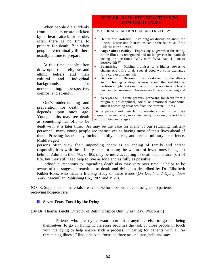# **KǗBLER- ROSS: FIVE REACTIONS TO TERMINAL ILLNESS**

When people die suddenly from accidents or are stricken by a heart attack or stroke, often there is no time to prepare for death. Bur when people are terminally ill, there usually is time to prepare.

At this time, people often draw upon their religious and ethnic beliefs and their cultural and individual backgrounds for understanding, perspective, comfort and strength.

One's understanding and preparation for death also depends upon one's age. Young adults may see death as something far off, to be

### EMOTIONAL REACTION CHARACTERIZED BY:

- **Denial and isolation** Avoiding all discussion about the illness. Discussion focuses instead on the future, as if the illness doesn't exist.
- **Anger about reality** Expressing anger when the reality of the illness is recognized and no longer can be avoided; posing the questions: "Why me? What have I done to deserve this?"
- **Bargaining** Making promises to a higher power to change one's life or do special good works in exchange for a cure or a longer life.
- **Depression** Becoming too weakened by the illness and/or feeling a deep sadness about the inability to perform simple tasks or function in the way to which one has been accustomed. Awareness of the approaching end of life.
- **Acceptance** If time permits, preparing for death from a religious, philosophical, social or emotional standpointalmost becoming detached from the terminal illness.

Dying persons and their family members may follow these stages in sequence or, more frequently, they may revert back and forth between stages.

dealt with at a later time. As may be the case for many of our returning military personnel, many young people see themselves as having most of their lives ahead of them. Pressing issues may include family, career, and recent military experience. Middle-aged

persons often view their impending death as an ending of family and career responsibilities with the primary concern being the welfare of loved ones being left behind. Adults in their 70s or 80s may be more accepting of death as a natural part of life, but they still need help to live as long and as fully as possible.

Individual reactions to impending death also may vary over time. It helps to be aware of the stages of reactions to death and dying, as described by Dr. Elisabeth Kübler-Ross, who made a lifelong study of these issues (*On Death and Dying,* New York: Macmillan Publishing Co., 1969 and 1970).

NOTE: Supplemental materials are available for those volunteers assigned to patients receiving hospice care.

# **Seven Fears Faced by the Dying**

(By Dr. Thomas Leicht, Director of Bellin Hospice Unit, Green Bay, Wisconsin)

Patients who are dying want more than anything else to go on being themselves, to go on living. It therefore becomes the task of those people in touch with the dying to help enable such a process. In caring for patients with a lifethreatening illness, I find it helps to focus on three tasks: listen, help and stay.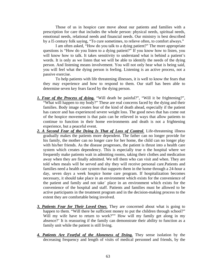Those of us in hospice care move about our patients and families with a prescription for care that includes the whole person: physical needs, spiritual needs, emotional needs, relational needs and financial needs. Our ministry is best described by a l5 century folk saying, "To cure sometimes, to relieve often, to comfort always."

I am often asked, "How do you talk to a dying patient?" The more appropriate questions is "How do you listen to a dying patient?" If you know how to listen, you will know how to talk. It takes sensitivity to understand what is behind a patient's words. It is only as we listen that we will be able to identify the needs of the dying person. And listening means involvement. You will not only hear what is being said, you will feel what the dying person is feeling. Listening is an active process, not a passive exercise.

To help patients with life threatening illnesses, it is well to know the fears that they may experience and how to respond to them. Our staff has been able to determine seven key fears faced by the dying person.

- *1. Fear of the Process of dying.* "Will death be painful?", "Will it be frightening?", "What will happen to my body?" These are real concerns faced by the dying and their families. Body image creates fear of the kind of death ahead, especially if the patient has cancer and has experienced severe weight loss. The good news that has come out of the hospice movement is that pain can be relieved in ways that allow patients to continue to function in their home environments and death is not a frightening experience, but a peaceful event.
- 2. A Second Fear of the Dying Is That of Loss of Control. Life-threatening illness gradually makes the patients more dependent. The father can no longer provide for his family, the mother can no longer care for her home, the child can no longer play with his/her friends. As the disease progresses, the patient is thrust into a health care system which creates dependency. This is especially true n the hospital where we frequently make patients wait in admitting rooms, taking their clothes and medication away when they are finally admitted. We tell them who can visit and when. They are told when meals will be served and shy they will receive personal care.Patients and families need a health care system that supports them in the home through a 24-hour a day, seven days a week hospice home care program. If hospitalization becomes necessary, it should take place in an environment which exists for the convenience of the patient and family and not take` place in an environment which exists for the convenience of the hospital and staff. Patients and families must be allowed to be active participants in the treatment program and in the decision-making process to the extent they are comfortable being involved.
- *3. Patients Fear for Their Loved Ones.* They are concerned about what is going to happen to them. "Will there be sufficient money to put the children through school?" Will my wife have to return to work?"" How will my family get along in my absence?' It is reassuring if the family can demonstrate their ability to function as a family unit while the patient is still living.
- *4. Patients Are Fearful of the Aloneness of Dying.* They sense isolation by the decreasing frequency and length of visits of medical personnel and friends, by the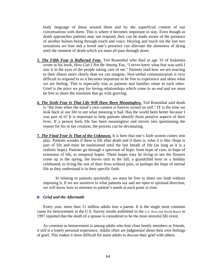body language of those around them and by the superficial content of our conversations with them. This is where it becomes important to stay. Even though as death approaches patients may not respond, they can be made aware of the presence of another human being through touch and voice. Hearing and touch ore the lost two sensations we lose and a loved one's presence can alleviate the aloneness of dying until the moment of death which we must all pass through alone.

- *5. The Fifth Fear is Reflected Fear.* Ted Rosenthal who died at age 33 of leukemia wrote in his book, *How Can I Not Be Among You*, "I never knew what fear was until I saw it in the eyes of the people taking care of me." Patients read how we are reacting to their illness more clearly than we can imagine. Non-verbal communication is very difficult to respond to so it becomes important to be free to experience and shore what we are feeling. This is especially true as patients and families relate to each other. Grief is the price we pay for loving relationships which come to an end and we must be free to shore the emotions that go with grieving.
- *6. The Sixth Fear Is That Life Will Have Been Meaningless.* Ted Rosenthal said death is "the time when the mind's own camera is forever turned on self." IT is the time we look back at our life to see what meaning it had. Has the world been better because I was part of it? It is important to help patients identify those positive aspects of their lives. If a person feels life has been meaningless and moves into questioning the reason for his or her creation, the process can be devastating.
- *7. The Final Fear Is That of the Unknown.* It is here that one's faith system comes into play. Patients wonder if there is life after death and if there is, what it is like. Hope is part of life and must be maintained until the last breath of life (as long as it is a realistic hope). Patients go through a spectrum of hope: from hope of cure, to hope of extension of life, to temporal hopes. These hopes may be living to see the flowers come up in the spring, the leaves turn in the fall, a grandchild born or a holiday celebrated, to living the rest of their lives without pain, or perhaps the hope of eternal life as they understand it in their specific faith.

In relating to patients spiritually, we must be free to share our faith without imposing it. If we are sensitive to what patients say and are open to spiritual direction, we will know how to minister to patient's needs at each point in time.

### *Grief and the Aftermath*

Every year, more than 11 million adults lose a parent. It is the single most common cause for bereavement in the U.S. Survey results published in the *U.S. News and World Report* in 1997 reported that the death of a spouse is considered to be the most stressful life event.

As common as bereavement is among adults who lose close family members or friends, it still is a lonely personal experience. Adults often are judgmental about their own feelings of grief. This makes it more difficult for some adults to discuss their grief with others.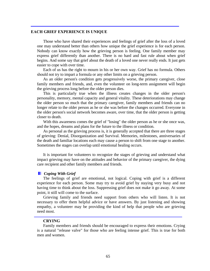## **EACH GRIEF EXPERIENCE IS UNIQUE**

Those who have shared their experiences and feelings of grief after the loss of a loved one may understand better than others how unique the grief experience is for each person. Nobody can know exactly how the grieving person is feeling. One family member may express grief differently than another. There is no hard and fast rule about when grief begins. And some say that grief about the death of a loved one never really ends. It just gets easier to cope with over time.

Each of us has the right to mourn in his or her own way. Grief has no formula. Others should not try to impart a formula or any other limits on a grieving person.

As an older person's condition gets progressively worse, the primary caregiver, close family members and friends, and, even the volunteer on long-term assignment will begin the grieving process long before the older person dies.

This is particularly true when the illness creates changes in the older person's personality, memory, mental capacity and general vitality. These deteriorations may change the older person so much that the primary caregiver, family members and friends can no longer relate to the older person as he or she was before the changes occurred. Everyone in the older person's social network becomes aware, over time, that the older person is getting closer to death.

With this awareness comes the grief of "losing" the older person as he or she once was, and the hopes, dreams and plans for the future to the illness or condition.

As personal as the grieving process is, it is generally accepted that there are three stages of grieving: Denial, Disorganization and Survival. Memories, milestones, anniversaries of the death and familiar locations each may cause a person to shift from one stage to another. Sometimes the stages can overlap until emotional healing occurs.

It is important for volunteers to recognize the stages of grieving and understand what impact grieving may have on the attitudes and behavior of the primary caregiver, the dying care recipient and other family members and friends.

### *Coping With Grief*

The feelings of grief are emotional, not logical. Coping with grief is a different experience for each person. Some may try to avoid grief by staying very busy and not having time to think about the loss. Suppressing grief does not make it go away. At some point, it still will come to the surface.

Grieving family and friends need support from others who will listen. It is not necessary to offer them helpful advice or have answers. By just listening and showing empathy, a volunteer may be providing the kind of help that people who are grieving need most.

### **CRYING**

Family members and friends should be encouraged to express their emotions. Crying is a natural "release valve" for those who are feeling intense grief. This is true for both men and women.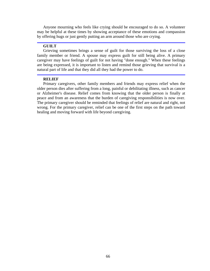Anyone mourning who feels like crying should be encouraged to do so. A volunteer may be helpful at these times by showing acceptance of these emotions and compassion by offering hugs or just gently putting an arm around those who are crying.

# **GUILT**

Grieving sometimes brings a sense of guilt for those surviving the loss of a close family member or friend. A spouse may express guilt for still being alive. A primary caregiver may have feelings of guilt for not having "done enough." When these feelings are being expressed, it is important to listen and remind those grieving that survival is a natural part of life and that they did all they had the power to do.

# **RELIEF**

Primary caregivers, other family members and friends may express relief when the older person dies after suffering from a long, painful or debilitating illness, such as cancer or Alzheimer's disease. Relief comes from knowing that the older person is finally at peace and from an awareness that the burden of caregiving responsibilities is now over. The primary caregiver should be reminded that feelings of relief are natural and right, not wrong. For the primary caregiver, relief can be one of the first steps on the path toward healing and moving forward with life beyond caregiving.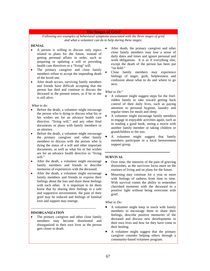### **The Stages of Grief**

*Following are examples of behavioral symptoms associated with the three stages of grief and what a volunteer can do to help during these stages:*

### **DENIAL**

- A person is willing to discuss only topics related to plans for the future, instead of getting personal affairs in order, such as preparing or updating a will or providing health care directives or a "living" will.
- The primary caregiver and close family members refuse to accept the impending death of the loved one.
- After death occurs, surviving family members and friends have difficult accepting that the person has died and continue to discuss the deceased in the present tenses, as if he or she is still alive.

### *What to do:*

- Before the death, a volunteer might encourage the person who is dying to discuss what his or her wishes are for an advance health care directive, "living will," and any other final documents or plans with family members or an attorney.
- Before the death, a volunteer might encourage the primary caregiver and other family members to discuss with the person who is dying the status of a will and other important documents, as well as what his or her wishes are for an advance health directive or "living will."
- After the death, a volunteer might encourage family members and friends to describe memories of experiences with the deceased.
- After the death, a volunteer might encourage family members and friends to express their feelings about the loss and share these feelings with each other. It is important to let them know that by sharing their feelings in a safe and supportive environment, the pain of their grief may be reduced and feelings of familial love and support may emerge.

### **DISORGANIZATION**

The primary caregiver and other close family members may become disoriented and disorganized in their own lives as the person gets closer to death.

- After death, the primary caregiver and other close family members may lose a sense of daily dates and times and ignore personal and work obligations. It is as if everything else, except the death of the person has been put "on hold."
- Close family members may experience feelings of anger, guilt, helplessness and confusion about what to do and where to go next.

### *What to Do"*

- A volunteer might suggest steps for the friefridden family to take toward getting back control of their daily lives, such as paying attention to personal hygiene, laundry and regular times for meals and sleep.
- A volunteer might encourage family members to engage in enjoyable activities again, such as in reading a good book, seeing a movie with another family member or taking children or grandchildren to the zoo.
- A volunteer might suggest that family members participate in a local bereavement support group.

### **SURVIVAL**

- Over time, the intensity of the pain of grieving diminishes, as the survivors focus more on the routines of living and on plans for the future.
- Mourning may continue for a year or more with feelings of sadness from time to time. With survival comes the ability to remember cherished moments with the deceased in a positive light without being overcome with grief.

### *What to Do:*

- A volunteer might keep in touch with family members to encourage them to share their feelings, describe positive memories of the deceased and discuss new developments in their own lives and how far they have come in their healing.
- A volunteer might suggest that the primary caregiver consider helping others through a community-based volunteer program.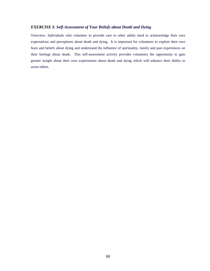# *EXERCISE 3: Self-Assessment of Your Beliefs about Death and Dying*

Overview: Individuals who volunteer to provide care to other adults need to acknowledge their own expectations and perceptions about death and dying. It is important for volunteers to explore their own fears and beliefs about dying and understand the influence of spirituality, family and past experiences on their feelings about death. This self-assessment activity provides volunteers the opportunity to gain greater insight about their own expectations about death and dying which will enhance their ability to assist others.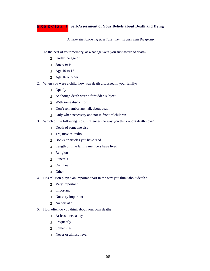**EXERCISE 3: Self-Assessment of Your Beliefs about Death and Dying** 

*Answer the following questions, then discuss with the group.* 

- 1. To the best of your memory, at what age were you first aware of death?
	- $\Box$  Under the age of 5
	- $\Box$  Age 6 to 9
	- $\Box$  Age 10 to 15
	- $\Box$  Age 16 or older
- 2. When you were a child, how was death discussed in your family?
	- **Openly**
	- □ As though death were a forbidden subject
	- $\neg$  With some discomfort
	- Don't remember any talk about death
	- $\Box$  Only when necessary and not in front of children
- 3. Which of the following most influences the way you think about death now?
	- Death of someone else
	- $\Box$  TV, movies, radio
	- Books or articles you have read
	- $\Box$  Length of time family members have lived
	- Religion
	- $\Box$  Funerals
	- Own health
	- $\Box$  Other
- 4. Has religion played an important part in the way you think about death?
	- $\Box$  Very important
	- Important
	- $\Box$  Not very important
	- $\Box$  No part at all
- 5. How often do you think about your own death?
	- $\Box$  At least once a day
	- Frequently
	- □ Sometimes
	- Never or almost never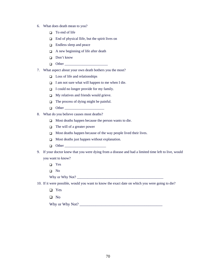- 6. What does death mean to you?
	- $\Box$  To end of life
	- $\Box$  End of physical llife, but the spirit lives on
	- □ Endless sleep and peace
	- $\Box$  A new beginning of life after death
	- Don't know
	- $\Box$  Other
- 7. What aspect about your own death bothers you the most?
	- $\Box$  Loss of life and relationships
	- $\Box$  I am not sure what will happen to me when I die.
	- $\Box$  I could no longer provide for my family.
	- $\Box$  My relatives and friends would grieve.
	- $\Box$  The process of dying might be painful.
	- $\Box$  Other
- 8. What do you believe causes most deaths?
	- $\Box$  Most deaths happen because the person wants to die.
	- $\Box$  The will of a greater power
	- $\Box$  Most deaths happen because of the way people lived their lives.
	- $\Box$  Most deaths just happen without explanation.
	- $\Box$  Other
- 9. If your doctor knew that you were dying from a disease and had a limited time left to live, would you want to know?
	- □ Yes
	- No
	- Why or Why Not? \_\_\_\_\_\_\_\_\_\_\_\_\_\_\_\_\_\_\_\_\_\_\_\_\_\_\_\_\_\_\_\_\_\_\_\_\_\_\_\_\_\_\_\_\_\_\_\_
- 10. If it were possible, would you want to know the exact date on which you were going to die?
	- □ Yes
	- No

Why or Why Not? \_\_\_\_\_\_\_\_\_\_\_\_\_\_\_\_\_\_\_\_\_\_\_\_\_\_\_\_\_\_\_\_\_\_\_\_\_\_\_\_\_\_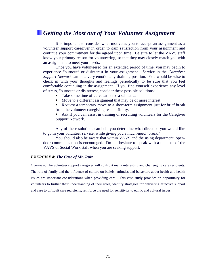# *Getting the Most out of Your Volunteer Assignment*

It is important to consider what motivates you to accept an assignment as a volunteer support caregiver in order to gain satisfaction from your assignment and continue your commitment for the agreed upon time. Be sure to let the VAVS staff know your primary reason for volunteering, so that they may closely match you with an assignment to meet your needs.

Once you have volunteered for an extended period of time, you may begin to experience "burnout" or disinterest in your assignment. Service in the *Caregiver Support Network* can be a very emotionally draining position. You would be wise to check in with your thoughts and feelings periodically to be sure that you feel comfortable continuing in the assignment. If you find yourself experience any level of stress, "burnout" or disinterest, consider these possible solutions:

- Take some time off, a vacation or a sabbatical.
- Move to a different assignment that may be of more interest.
- Request a temporary move to a short-term assignment just for brief break from the volunteer caregiving responsibility.
- Ask if you can assist in training or recruiting volunteers for the Caregiver Support Network.

Any of these solutions can help you determine what direction you would like to go in your volunteer service, while giving you a much-need "break."

 You should also be aware that within VAVS and the using department, opendoor communication is encouraged. Do not hesitate to speak with a member of the VAVS or Social Work staff when you are seeking support.

### *EXERCISE 4: The Case of Mr. Ruiz*

Overview: The volunteer support caregiver will confront many interesting and challenging care recipients. The role of family and the influence of culture on beliefs, attitudes and behaviors about health and health issues are important considerations when providing care. This case study provides an opportunity for volunteers to further their understanding of their roles, identify strategies for delivering effective support and care to difficult care recipients, reinforce the need for sensitivity to ethnic and cultural issues.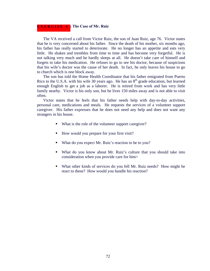# **EXERCISE 4 : The Case of Mr. Ruiz**

The VA received a call from Victor Ruiz, the son of Juan Ruiz, age 76. Victor states that he is very concerned about his father. Since the death of his mother, six months ago, his father has really started to deteriorate. He no longer has an appetite and eats very little. He shakes and trembles from time to time and has become very forgetful. He is not talking very much and he hardly sleeps at all. He doesn't take care of himself and forgets to take his medication. He refuses to go to see his doctor, because of suspicions that his wife's doctor was the cause of her death. In fact, he only leaves his house to go to church which is one block away.

The son has told the Home Health Coordinator that his father emigrated from Puerto Rico to the U.S.A. with his wife 30 years ago. He has an  $8<sup>th</sup>$  grade education, but learned enough English to get a job as a laborer. He is retired from work and has very little family nearby. Victor is his only son, but he lives 150 miles away and is not able to visit often.

Victor states that he feels that his father needs help with day-to-day activities, personal care, medications and meals. He requests the services of a volunteer support caregiver. His father expresses that he does not need any help and does not want any strangers in his house.

- What is the role of the volunteer support caregiver?
- How would you prepare for your first visit?
- What do you expect Mr. Ruiz's reaction to be to you?
- What do you know about Mr. Ruiz's culture that you should take into consideration when you provide care for him>
- What other kinds of services do you fell Mr. Ruiz needs? How might he react to these? How would you handle his reaction?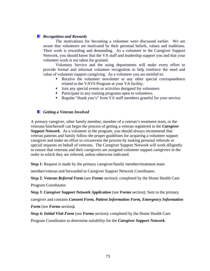## *Recognition and Rewards*

The motivations for becoming a volunteer were discussed earlier. We are aware that volunteers are motivated by their personal beliefs, values and traditions. Their work is rewarding and demanding. As a volunteer in the Caregiver Support Network, you should know that the VA staff and leadership support you and that your volunteer work is not taken for granted.

Voluntary Service and the using departments will make every effort to provide formal and informal volunteer recognition to help reinforce the need and value of volunteer support caregiving. As a volunteer you are entitled to:

- Receive the volunteer newsletter or any other special correspondence related to the VAVS Program at your VA facility.
- I Join any special events or activities designed for volunteers
- Participate in any training programs open to volunteers.
- Regular "thank you's" from VA staff members grateful for your service.

## *Getting a Veteran Involved*

A primary caregiver, other family member, member of a veteran's treatment team, or the veterans him/herself can begin the process of getting a veteran registered in the *Caregiver Support Network*. As a volunteer in the program, you should always recommend that veteran patients and family follow the proper guidelines for acquiring a volunteer support caregiver and make no effort to circumvent the process by making personal referrals or special requests on behalf of veterans. The Caregiver Support Network will work diligently to ensure that veterans and their caregivers are assigned volunteer support caregivers in the order in which they are referred, unless otherwise indicated.

**Step 1**: Request is made by the primary caregiver/family member/treatment team

member/veteran and forwarded to Caregiver Support Network Coordinator.

**Step 2**: *Veteran Referral Form* (see *Forms* section): completed by the Home Health Care Program Coordinator

**Step 3**: *Caregiver Support Network Application* (see *Forms* section): Sent to the primary caregiver and contains *Consent Form, Patient Information Form, Emergency Information Form* (see *Forms* section*).*

**Step 4***: Initial Visit Form* (see *Forms* section): completed by the Home Health Care Program Coordinator to determine suitability for the *Caregiver Support Network*.